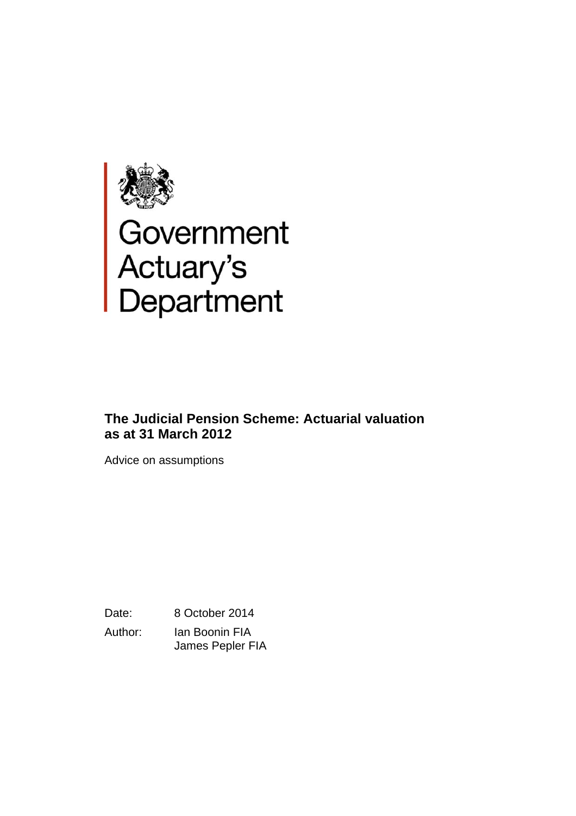

# Government<br>Actuary's<br>Department

# **The Judicial Pension Scheme: Actuarial valuation as at 31 March 2012**

Advice on assumptions

Date: 8 October 2014

Author: Ian Boonin FIA James Pepler FIA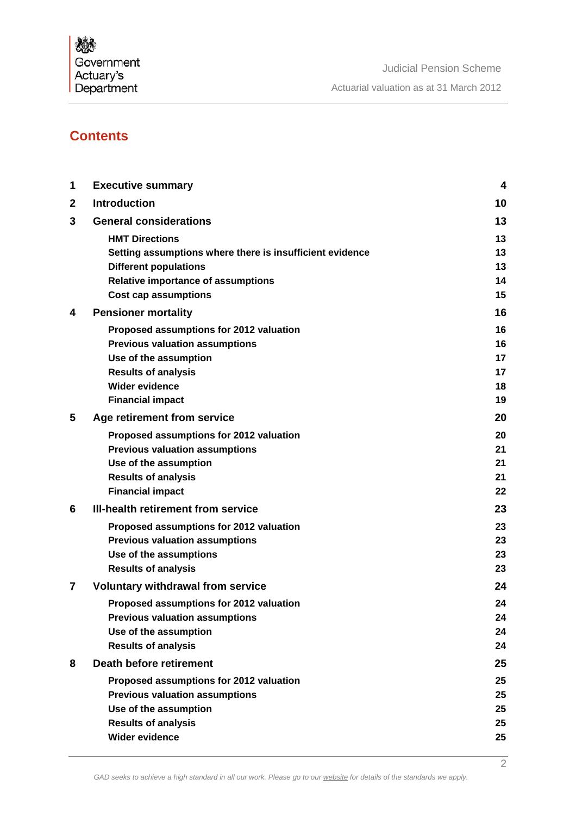

# **Contents**

| 1 | <b>Executive summary</b>                                 | 4        |
|---|----------------------------------------------------------|----------|
| 2 | <b>Introduction</b>                                      | 10       |
| 3 | <b>General considerations</b>                            | 13       |
|   | <b>HMT Directions</b>                                    | 13       |
|   | Setting assumptions where there is insufficient evidence | 13       |
|   | <b>Different populations</b>                             | 13       |
|   | <b>Relative importance of assumptions</b>                | 14       |
|   | <b>Cost cap assumptions</b>                              | 15       |
| 4 | <b>Pensioner mortality</b>                               | 16       |
|   | Proposed assumptions for 2012 valuation                  | 16       |
|   | <b>Previous valuation assumptions</b>                    | 16       |
|   | Use of the assumption                                    | 17       |
|   | <b>Results of analysis</b>                               | 17       |
|   | <b>Wider evidence</b>                                    | 18       |
|   | <b>Financial impact</b>                                  | 19       |
| 5 | Age retirement from service                              | 20       |
|   | Proposed assumptions for 2012 valuation                  | 20       |
|   | <b>Previous valuation assumptions</b>                    | 21       |
|   | Use of the assumption                                    | 21       |
|   | <b>Results of analysis</b>                               | 21<br>22 |
|   | <b>Financial impact</b>                                  |          |
| 6 | III-health retirement from service                       | 23       |
|   | Proposed assumptions for 2012 valuation                  | 23       |
|   | <b>Previous valuation assumptions</b>                    | 23       |
|   | Use of the assumptions                                   | 23<br>23 |
|   | <b>Results of analysis</b>                               |          |
| 7 | <b>Voluntary withdrawal from service</b>                 | 24       |
|   | Proposed assumptions for 2012 valuation                  | 24       |
|   | <b>Previous valuation assumptions</b>                    | 24       |
|   | Use of the assumption                                    | 24<br>24 |
|   | <b>Results of analysis</b>                               |          |
| 8 | Death before retirement                                  | 25       |
|   | Proposed assumptions for 2012 valuation                  | 25       |
|   | <b>Previous valuation assumptions</b>                    | 25       |
|   | Use of the assumption<br><b>Results of analysis</b>      | 25<br>25 |
|   | Wider evidence                                           | 25       |
|   |                                                          |          |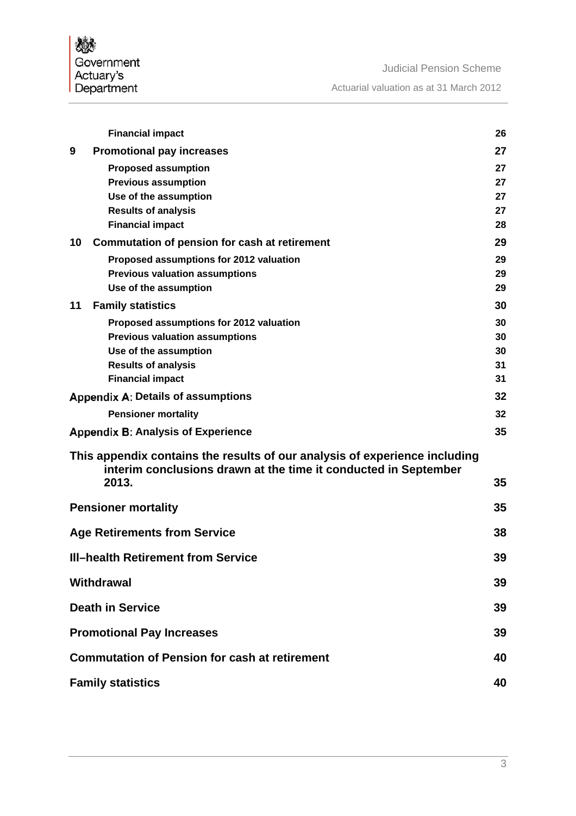燃 Government<br>Actuary's<br>Department

I

|    | <b>Financial impact</b>                                                                                                                       | 26       |
|----|-----------------------------------------------------------------------------------------------------------------------------------------------|----------|
| 9  | <b>Promotional pay increases</b>                                                                                                              | 27       |
|    | <b>Proposed assumption</b>                                                                                                                    | 27       |
|    | <b>Previous assumption</b>                                                                                                                    | 27       |
|    | Use of the assumption<br><b>Results of analysis</b>                                                                                           | 27<br>27 |
|    | <b>Financial impact</b>                                                                                                                       | 28       |
| 10 | Commutation of pension for cash at retirement                                                                                                 | 29       |
|    | Proposed assumptions for 2012 valuation                                                                                                       | 29       |
|    | <b>Previous valuation assumptions</b>                                                                                                         | 29       |
|    | Use of the assumption                                                                                                                         | 29       |
| 11 | <b>Family statistics</b>                                                                                                                      | 30       |
|    | Proposed assumptions for 2012 valuation                                                                                                       | 30       |
|    | <b>Previous valuation assumptions</b>                                                                                                         | 30       |
|    | Use of the assumption<br><b>Results of analysis</b>                                                                                           | 30<br>31 |
|    | <b>Financial impact</b>                                                                                                                       | 31       |
|    | <b>Appendix A: Details of assumptions</b>                                                                                                     | 32       |
|    | <b>Pensioner mortality</b>                                                                                                                    | 32       |
|    | <b>Appendix B: Analysis of Experience</b>                                                                                                     | 35       |
|    | This appendix contains the results of our analysis of experience including<br>interim conclusions drawn at the time it conducted in September |          |
|    | 2013.                                                                                                                                         | 35       |
|    | <b>Pensioner mortality</b>                                                                                                                    | 35       |
|    | <b>Age Retirements from Service</b>                                                                                                           | 38       |
|    | <b>III-health Retirement from Service</b>                                                                                                     | 39       |
|    | <b>Withdrawal</b>                                                                                                                             | 39       |
|    | <b>Death in Service</b>                                                                                                                       | 39       |
|    | <b>Promotional Pay Increases</b>                                                                                                              | 39       |
|    | <b>Commutation of Pension for cash at retirement</b>                                                                                          | 40       |
|    | <b>Family statistics</b>                                                                                                                      | 40       |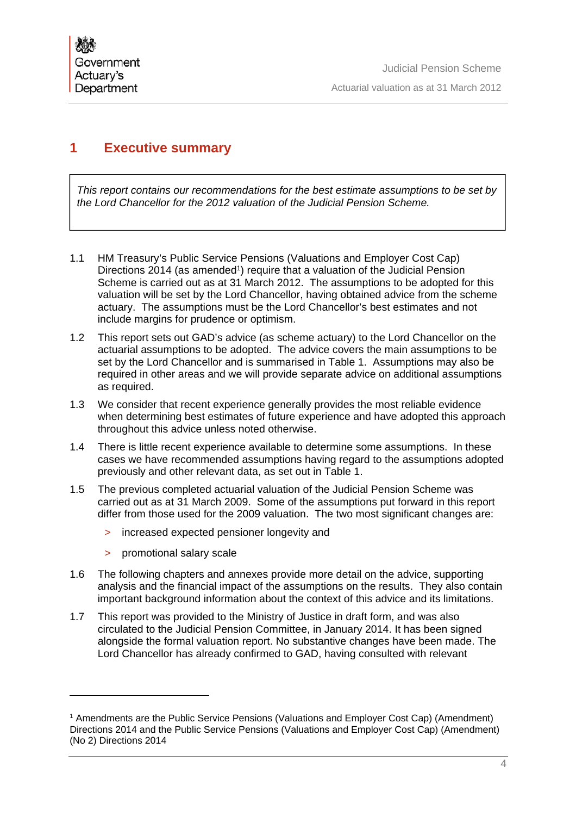# **1 Executive summary**

*This report contains our recommendations for the best estimate assumptions to be set by the Lord Chancellor for the 2012 valuation of the Judicial Pension Scheme.* 

- 1.1 HM Treasury's Public Service Pensions (Valuations and Employer Cost Cap) Directions 2014 (as amended<sup>1</sup>) require that a valuation of the Judicial Pension Scheme is carried out as at 31 March 2012. The assumptions to be adopted for this valuation will be set by the Lord Chancellor, having obtained advice from the scheme actuary. The assumptions must be the Lord Chancellor's best estimates and not include margins for prudence or optimism.
- 1.2 This report sets out GAD's advice (as scheme actuary) to the Lord Chancellor on the actuarial assumptions to be adopted. The advice covers the main assumptions to be set by the Lord Chancellor and is summarised in Table 1. Assumptions may also be required in other areas and we will provide separate advice on additional assumptions as required.
- 1.3 We consider that recent experience generally provides the most reliable evidence when determining best estimates of future experience and have adopted this approach throughout this advice unless noted otherwise.
- 1.4 There is little recent experience available to determine some assumptions. In these cases we have recommended assumptions having regard to the assumptions adopted previously and other relevant data, as set out in Table 1.
- 1.5 The previous completed actuarial valuation of the Judicial Pension Scheme was carried out as at 31 March 2009. Some of the assumptions put forward in this report differ from those used for the 2009 valuation. The two most significant changes are:
	- > increased expected pensioner longevity and
	- > promotional salary scale

- 1.6 The following chapters and annexes provide more detail on the advice, supporting analysis and the financial impact of the assumptions on the results. They also contain important background information about the context of this advice and its limitations.
- 1.7 This report was provided to the Ministry of Justice in draft form, and was also circulated to the Judicial Pension Committee, in January 2014. It has been signed alongside the formal valuation report. No substantive changes have been made. The Lord Chancellor has already confirmed to GAD, having consulted with relevant

<sup>1</sup> Amendments are the Public Service Pensions (Valuations and Employer Cost Cap) (Amendment) Directions 2014 and the Public Service Pensions (Valuations and Employer Cost Cap) (Amendment) (No 2) Directions 2014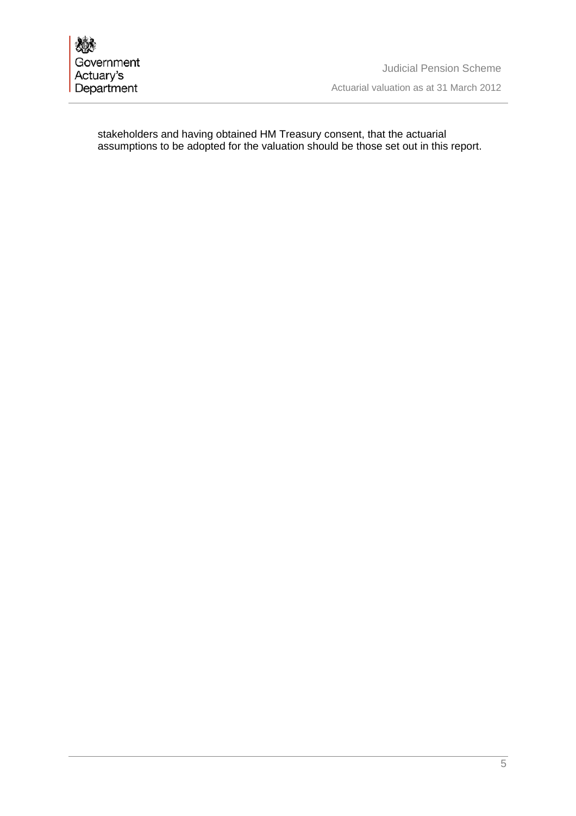stakeholders and having obtained HM Treasury consent, that the actuarial assumptions to be adopted for the valuation should be those set out in this report.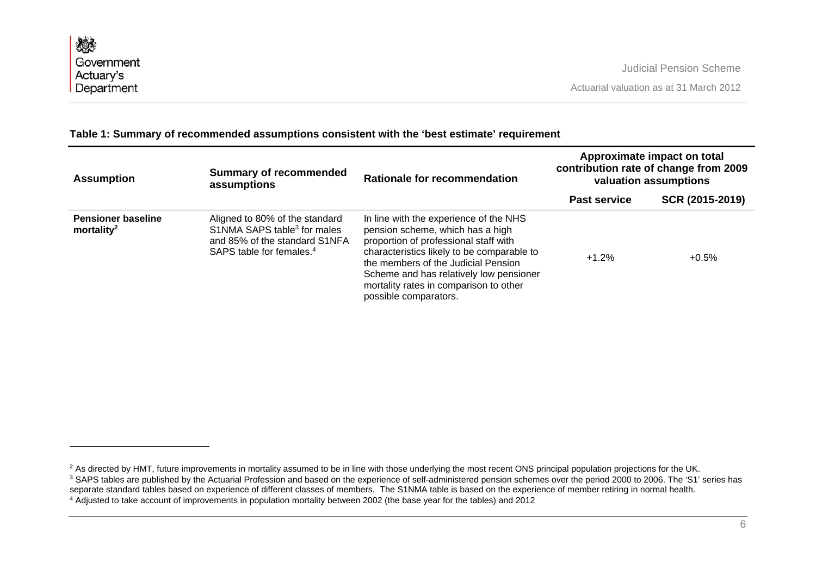| <b>Assumption</b>                                   | <b>Summary of recommended</b>                                                                                                                      | <b>Rationale for recommendation</b>                                                                                                                                                                                                                                                                                    | Approximate impact on total<br>contribution rate of change from 2009<br>valuation assumptions |                 |
|-----------------------------------------------------|----------------------------------------------------------------------------------------------------------------------------------------------------|------------------------------------------------------------------------------------------------------------------------------------------------------------------------------------------------------------------------------------------------------------------------------------------------------------------------|-----------------------------------------------------------------------------------------------|-----------------|
|                                                     | assumptions                                                                                                                                        |                                                                                                                                                                                                                                                                                                                        | <b>Past service</b>                                                                           | SCR (2015-2019) |
| <b>Pensioner baseline</b><br>mortality <sup>2</sup> | Aligned to 80% of the standard<br>S1NMA SAPS table <sup>3</sup> for males<br>and 85% of the standard S1NFA<br>SAPS table for females. <sup>4</sup> | In line with the experience of the NHS<br>pension scheme, which has a high<br>proportion of professional staff with<br>characteristics likely to be comparable to<br>the members of the Judicial Pension<br>Scheme and has relatively low pensioner<br>mortality rates in comparison to other<br>possible comparators. | $+1.2%$                                                                                       | $+0.5%$         |

# **Table 1: Summary of recommended assumptions consistent with the 'best estimate' requirement**

<sup>&</sup>lt;sup>2</sup> As directed by HMT, future improvements in mortality assumed to be in line with those underlying the most recent ONS principal population projections for the UK. <sup>3</sup> SAPS tables are published by the Actuarial Profession and based on the experience of self-administered pension schemes over the period 2000 to 2006. The 'S1' series has

separate standard tables based on experience of different classes of members. The S1NMA table is based on the experience of member retiring in normal health.

<sup>4</sup> Adjusted to take account of improvements in population mortality between 2002 (the base year for the tables) and 2012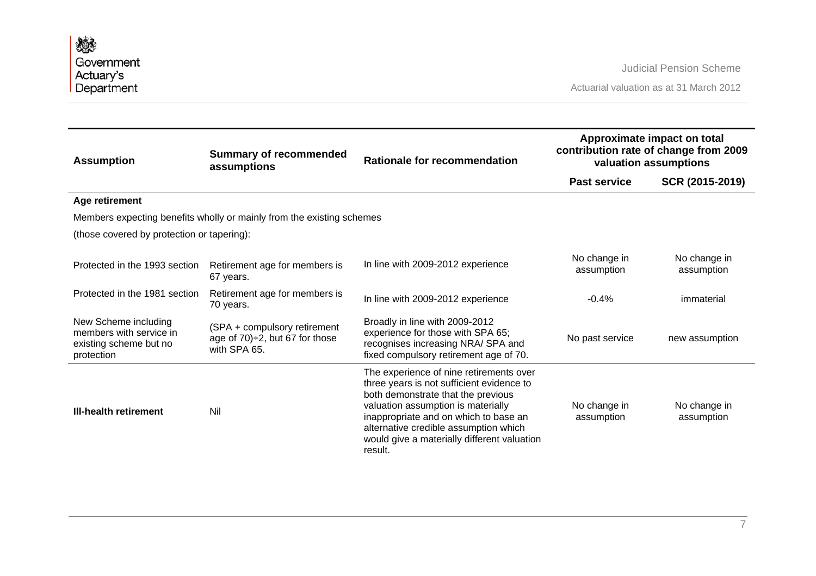| 戀<br>Government                                                                         |                                                                                          |                                                                                                                                                                                                                                                                                                              |                            | <b>Judicial Pension Scheme</b>                                                                |
|-----------------------------------------------------------------------------------------|------------------------------------------------------------------------------------------|--------------------------------------------------------------------------------------------------------------------------------------------------------------------------------------------------------------------------------------------------------------------------------------------------------------|----------------------------|-----------------------------------------------------------------------------------------------|
| Actuary's                                                                               |                                                                                          |                                                                                                                                                                                                                                                                                                              |                            |                                                                                               |
| Department                                                                              |                                                                                          |                                                                                                                                                                                                                                                                                                              |                            | Actuarial valuation as at 31 March 2012                                                       |
|                                                                                         |                                                                                          |                                                                                                                                                                                                                                                                                                              |                            |                                                                                               |
| <b>Assumption</b>                                                                       | <b>Summary of recommended</b><br>assumptions                                             | Rationale for recommendation                                                                                                                                                                                                                                                                                 |                            | Approximate impact on total<br>contribution rate of change from 2009<br>valuation assumptions |
|                                                                                         |                                                                                          |                                                                                                                                                                                                                                                                                                              | <b>Past service</b>        | SCR (2015-2019)                                                                               |
| Age retirement                                                                          |                                                                                          |                                                                                                                                                                                                                                                                                                              |                            |                                                                                               |
|                                                                                         | Members expecting benefits wholly or mainly from the existing schemes                    |                                                                                                                                                                                                                                                                                                              |                            |                                                                                               |
| (those covered by protection or tapering):                                              |                                                                                          |                                                                                                                                                                                                                                                                                                              |                            |                                                                                               |
| Protected in the 1993 section                                                           | Retirement age for members is<br>67 years.                                               | In line with 2009-2012 experience                                                                                                                                                                                                                                                                            | No change in<br>assumption | No change in<br>assumption                                                                    |
| Protected in the 1981 section                                                           | Retirement age for members is<br>70 years.                                               | In line with 2009-2012 experience                                                                                                                                                                                                                                                                            | $-0.4%$                    | immaterial                                                                                    |
| New Scheme including<br>members with service in<br>existing scheme but no<br>protection | (SPA + compulsory retirement<br>age of $70$ ) $\div$ 2, but 67 for those<br>with SPA 65. | Broadly in line with 2009-2012<br>experience for those with SPA 65;<br>recognises increasing NRA/ SPA and<br>fixed compulsory retirement age of 70.                                                                                                                                                          | No past service            | new assumption                                                                                |
| <b>III-health retirement</b>                                                            | Nil                                                                                      | The experience of nine retirements over<br>three years is not sufficient evidence to<br>both demonstrate that the previous<br>valuation assumption is materially<br>inappropriate and on which to base an<br>alternative credible assumption which<br>would give a materially different valuation<br>result. | No change in<br>assumption | No change in<br>assumption                                                                    |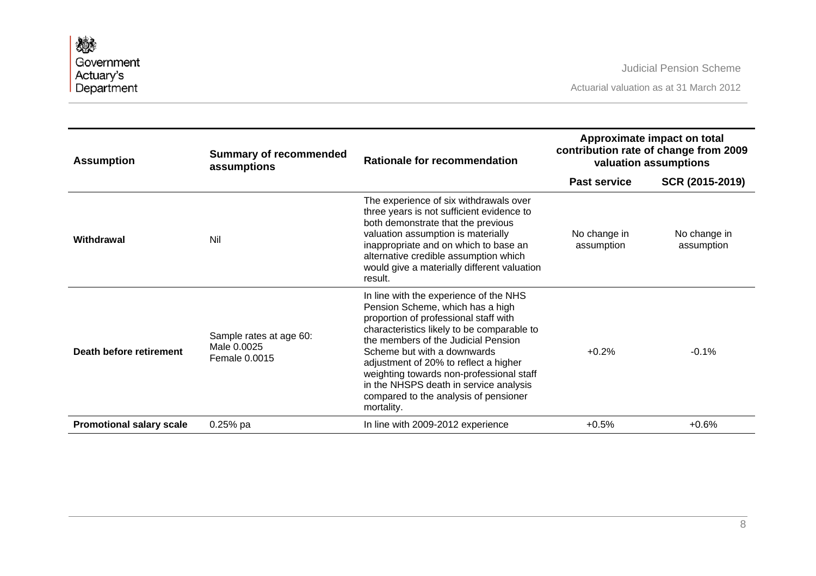| <b>Assumption</b>               | <b>Summary of recommended</b><br>assumptions            | <b>Rationale for recommendation</b>                                                                                                                                                                                                                                                                                                                                                                                           | Approximate impact on total<br>contribution rate of change from 2009<br>valuation assumptions |                            |
|---------------------------------|---------------------------------------------------------|-------------------------------------------------------------------------------------------------------------------------------------------------------------------------------------------------------------------------------------------------------------------------------------------------------------------------------------------------------------------------------------------------------------------------------|-----------------------------------------------------------------------------------------------|----------------------------|
|                                 |                                                         |                                                                                                                                                                                                                                                                                                                                                                                                                               | <b>Past service</b>                                                                           | SCR (2015-2019)            |
| Withdrawal                      | Nil                                                     | The experience of six withdrawals over<br>three years is not sufficient evidence to<br>both demonstrate that the previous<br>valuation assumption is materially<br>inappropriate and on which to base an<br>alternative credible assumption which<br>would give a materially different valuation<br>result.                                                                                                                   | No change in<br>assumption                                                                    | No change in<br>assumption |
| Death before retirement         | Sample rates at age 60:<br>Male 0.0025<br>Female 0.0015 | In line with the experience of the NHS<br>Pension Scheme, which has a high<br>proportion of professional staff with<br>characteristics likely to be comparable to<br>the members of the Judicial Pension<br>Scheme but with a downwards<br>adjustment of 20% to reflect a higher<br>weighting towards non-professional staff<br>in the NHSPS death in service analysis<br>compared to the analysis of pensioner<br>mortality. | $+0.2%$                                                                                       | $-0.1%$                    |
| <b>Promotional salary scale</b> | $0.25%$ pa                                              | In line with 2009-2012 experience                                                                                                                                                                                                                                                                                                                                                                                             | $+0.5%$                                                                                       | $+0.6%$                    |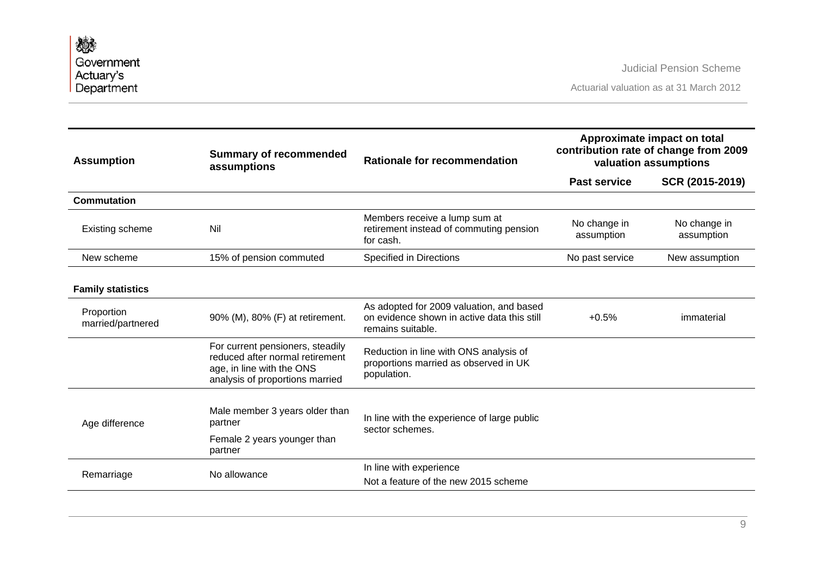| <b>Assumption</b>               | <b>Summary of recommended</b><br>assumptions                                                                                        | Rationale for recommendation                                                                                 | Approximate impact on total<br>contribution rate of change from 2009<br>valuation assumptions |                            |
|---------------------------------|-------------------------------------------------------------------------------------------------------------------------------------|--------------------------------------------------------------------------------------------------------------|-----------------------------------------------------------------------------------------------|----------------------------|
|                                 |                                                                                                                                     |                                                                                                              | <b>Past service</b>                                                                           | SCR (2015-2019)            |
| Commutation                     |                                                                                                                                     |                                                                                                              |                                                                                               |                            |
| Existing scheme                 | Nil                                                                                                                                 | Members receive a lump sum at<br>retirement instead of commuting pension<br>for cash.                        | No change in<br>assumption                                                                    | No change in<br>assumption |
| New scheme                      | 15% of pension commuted                                                                                                             | <b>Specified in Directions</b>                                                                               | No past service                                                                               | New assumption             |
| <b>Family statistics</b>        |                                                                                                                                     |                                                                                                              |                                                                                               |                            |
| Proportion<br>married/partnered | 90% (M), 80% (F) at retirement.                                                                                                     | As adopted for 2009 valuation, and based<br>on evidence shown in active data this still<br>remains suitable. | $+0.5%$                                                                                       | immaterial                 |
|                                 | For current pensioners, steadily<br>reduced after normal retirement<br>age, in line with the ONS<br>analysis of proportions married | Reduction in line with ONS analysis of<br>proportions married as observed in UK<br>population.               |                                                                                               |                            |
| Age difference                  | Male member 3 years older than<br>partner                                                                                           | In line with the experience of large public<br>sector schemes.                                               |                                                                                               |                            |
|                                 | Female 2 years younger than<br>partner                                                                                              |                                                                                                              |                                                                                               |                            |
| Remarriage                      | No allowance                                                                                                                        | In line with experience<br>Not a feature of the new 2015 scheme                                              |                                                                                               |                            |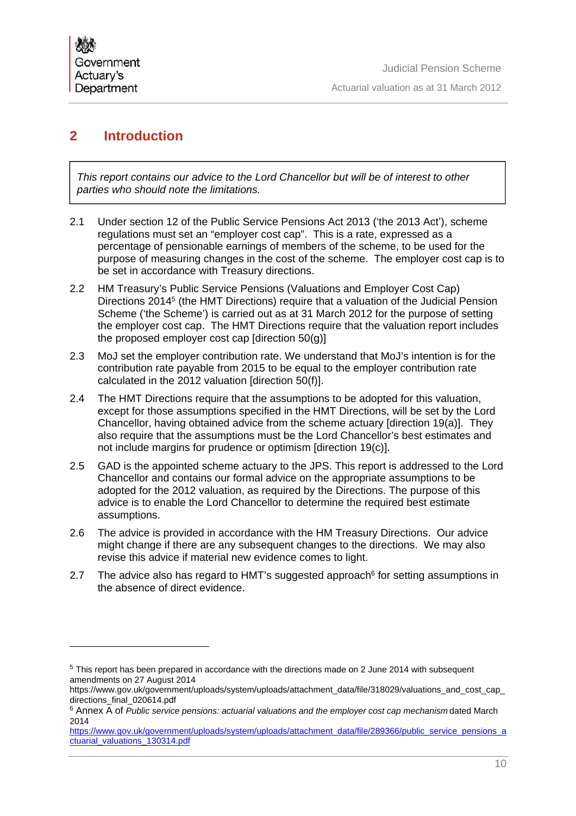# **2 Introduction**

*This report contains our advice to the Lord Chancellor but will be of interest to other parties who should note the limitations.* 

- 2.1 Under section 12 of the Public Service Pensions Act 2013 ('the 2013 Act'), scheme regulations must set an "employer cost cap". This is a rate, expressed as a percentage of pensionable earnings of members of the scheme, to be used for the purpose of measuring changes in the cost of the scheme. The employer cost cap is to be set in accordance with Treasury directions.
- 2.2 HM Treasury's Public Service Pensions (Valuations and Employer Cost Cap) Directions 20145 (the HMT Directions) require that a valuation of the Judicial Pension Scheme ('the Scheme') is carried out as at 31 March 2012 for the purpose of setting the employer cost cap. The HMT Directions require that the valuation report includes the proposed employer cost cap [direction 50(g)]
- 2.3 MoJ set the employer contribution rate. We understand that MoJ's intention is for the contribution rate payable from 2015 to be equal to the employer contribution rate calculated in the 2012 valuation [direction 50(f)].
- 2.4 The HMT Directions require that the assumptions to be adopted for this valuation, except for those assumptions specified in the HMT Directions, will be set by the Lord Chancellor, having obtained advice from the scheme actuary [direction 19(a)]. They also require that the assumptions must be the Lord Chancellor's best estimates and not include margins for prudence or optimism [direction 19(c)].
- 2.5 GAD is the appointed scheme actuary to the JPS. This report is addressed to the Lord Chancellor and contains our formal advice on the appropriate assumptions to be adopted for the 2012 valuation, as required by the Directions. The purpose of this advice is to enable the Lord Chancellor to determine the required best estimate assumptions.
- 2.6 The advice is provided in accordance with the HM Treasury Directions. Our advice might change if there are any subsequent changes to the directions. We may also revise this advice if material new evidence comes to light.
- 2.7 The advice also has regard to HMT's suggested approach $6$  for setting assumptions in the absence of direct evidence.

<sup>5</sup> This report has been prepared in accordance with the directions made on 2 June 2014 with subsequent amendments on 27 August 2014

https://www.gov.uk/government/uploads/system/uploads/attachment\_data/file/318029/valuations\_and\_cost\_cap\_ directions\_final\_020614.pdf

<sup>6</sup> Annex A of *Public service pensions: actuarial valuations and the employer cost cap mechanism* dated March 2014

https://www.gov.uk/government/uploads/system/uploads/attachment\_data/file/289366/public\_service\_pensions\_a ctuarial\_valuations\_130314.pdf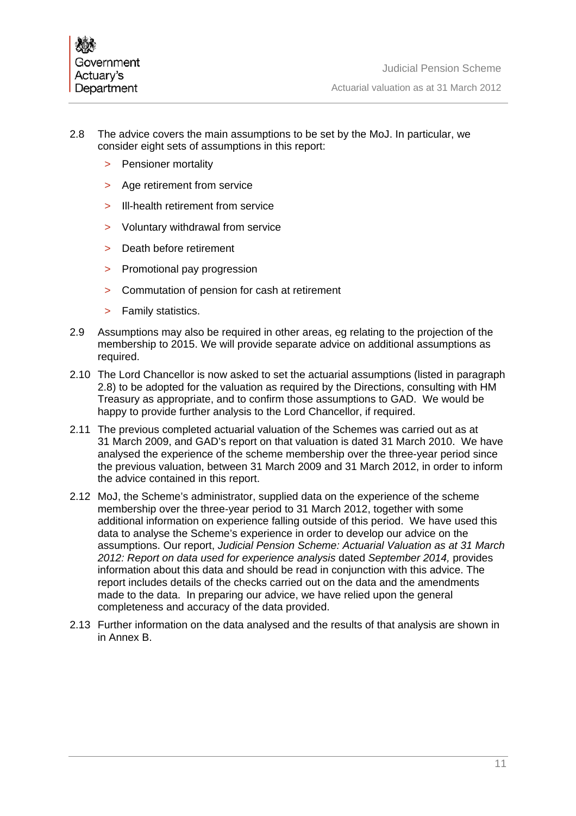- 2.8 The advice covers the main assumptions to be set by the MoJ. In particular, we consider eight sets of assumptions in this report:
	- > Pensioner mortality
	- > Age retirement from service
	- > Ill-health retirement from service
	- > Voluntary withdrawal from service
	- > Death before retirement
	- > Promotional pay progression
	- > Commutation of pension for cash at retirement
	- > Family statistics.
- 2.9 Assumptions may also be required in other areas, eg relating to the projection of the membership to 2015. We will provide separate advice on additional assumptions as required.
- 2.10 The Lord Chancellor is now asked to set the actuarial assumptions (listed in paragraph 2.8) to be adopted for the valuation as required by the Directions, consulting with HM Treasury as appropriate, and to confirm those assumptions to GAD. We would be happy to provide further analysis to the Lord Chancellor, if required.
- 2.11 The previous completed actuarial valuation of the Schemes was carried out as at 31 March 2009, and GAD's report on that valuation is dated 31 March 2010. We have analysed the experience of the scheme membership over the three-year period since the previous valuation, between 31 March 2009 and 31 March 2012, in order to inform the advice contained in this report.
- 2.12 MoJ, the Scheme's administrator, supplied data on the experience of the scheme membership over the three-year period to 31 March 2012, together with some additional information on experience falling outside of this period. We have used this data to analyse the Scheme's experience in order to develop our advice on the assumptions. Our report, *Judicial Pension Scheme: Actuarial Valuation as at 31 March 2012: Report on data used for experience analysis* dated *September 2014,* provides information about this data and should be read in conjunction with this advice. The report includes details of the checks carried out on the data and the amendments made to the data. In preparing our advice, we have relied upon the general completeness and accuracy of the data provided.
- 2.13 Further information on the data analysed and the results of that analysis are shown in in Annex B.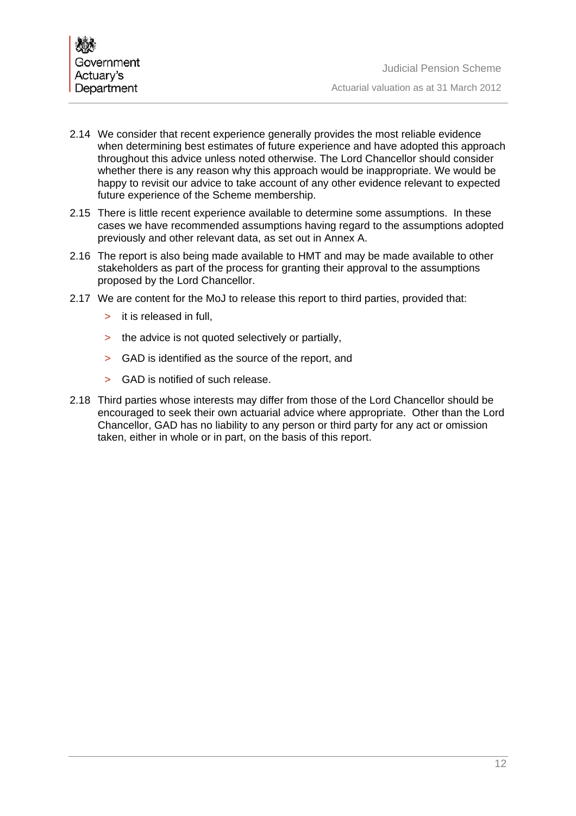- 2.14 We consider that recent experience generally provides the most reliable evidence when determining best estimates of future experience and have adopted this approach throughout this advice unless noted otherwise. The Lord Chancellor should consider whether there is any reason why this approach would be inappropriate. We would be happy to revisit our advice to take account of any other evidence relevant to expected future experience of the Scheme membership.
- 2.15 There is little recent experience available to determine some assumptions. In these cases we have recommended assumptions having regard to the assumptions adopted previously and other relevant data, as set out in Annex A.
- 2.16 The report is also being made available to HMT and may be made available to other stakeholders as part of the process for granting their approval to the assumptions proposed by the Lord Chancellor.
- 2.17 We are content for the MoJ to release this report to third parties, provided that:
	- > it is released in full,
	- > the advice is not quoted selectively or partially,
	- > GAD is identified as the source of the report, and
	- > GAD is notified of such release.
- 2.18 Third parties whose interests may differ from those of the Lord Chancellor should be encouraged to seek their own actuarial advice where appropriate. Other than the Lord Chancellor, GAD has no liability to any person or third party for any act or omission taken, either in whole or in part, on the basis of this report.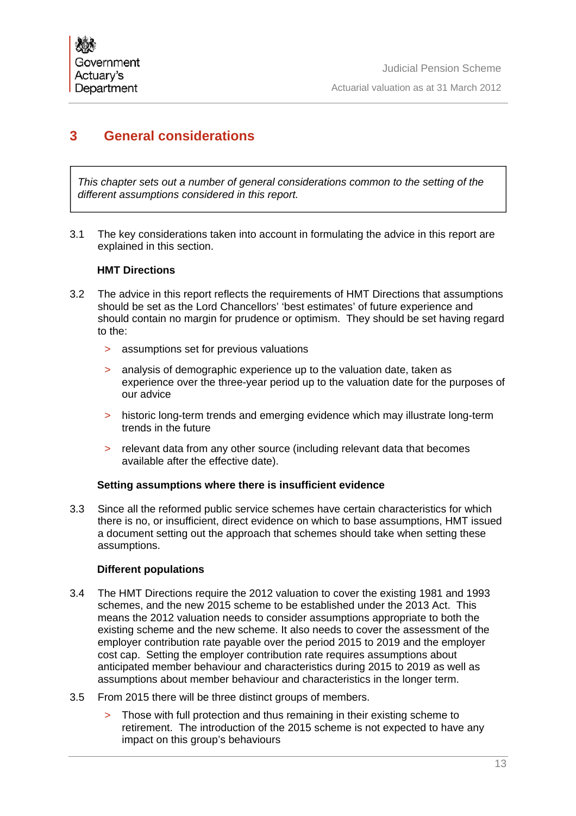# **3 General considerations**

*This chapter sets out a number of general considerations common to the setting of the different assumptions considered in this report.* 

3.1 The key considerations taken into account in formulating the advice in this report are explained in this section.

## **HMT Directions**

- 3.2 The advice in this report reflects the requirements of HMT Directions that assumptions should be set as the Lord Chancellors' 'best estimates' of future experience and should contain no margin for prudence or optimism. They should be set having regard to the:
	- > assumptions set for previous valuations
	- > analysis of demographic experience up to the valuation date, taken as experience over the three-year period up to the valuation date for the purposes of our advice
	- > historic long-term trends and emerging evidence which may illustrate long-term trends in the future
	- > relevant data from any other source (including relevant data that becomes available after the effective date).

# **Setting assumptions where there is insufficient evidence**

3.3 Since all the reformed public service schemes have certain characteristics for which there is no, or insufficient, direct evidence on which to base assumptions, HMT issued a document setting out the approach that schemes should take when setting these assumptions.

# **Different populations**

- 3.4 The HMT Directions require the 2012 valuation to cover the existing 1981 and 1993 schemes, and the new 2015 scheme to be established under the 2013 Act. This means the 2012 valuation needs to consider assumptions appropriate to both the existing scheme and the new scheme. It also needs to cover the assessment of the employer contribution rate payable over the period 2015 to 2019 and the employer cost cap. Setting the employer contribution rate requires assumptions about anticipated member behaviour and characteristics during 2015 to 2019 as well as assumptions about member behaviour and characteristics in the longer term.
- 3.5 From 2015 there will be three distinct groups of members.
	- Those with full protection and thus remaining in their existing scheme to retirement. The introduction of the 2015 scheme is not expected to have any impact on this group's behaviours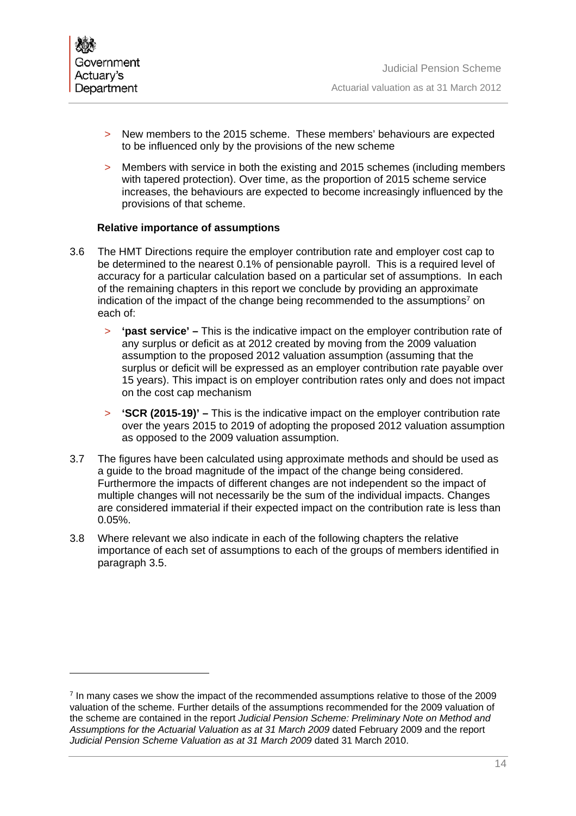

- > New members to the 2015 scheme. These members' behaviours are expected to be influenced only by the provisions of the new scheme
- > Members with service in both the existing and 2015 schemes (including members with tapered protection). Over time, as the proportion of 2015 scheme service increases, the behaviours are expected to become increasingly influenced by the provisions of that scheme.

## **Relative importance of assumptions**

- 3.6 The HMT Directions require the employer contribution rate and employer cost cap to be determined to the nearest 0.1% of pensionable payroll. This is a required level of accuracy for a particular calculation based on a particular set of assumptions. In each of the remaining chapters in this report we conclude by providing an approximate indication of the impact of the change being recommended to the assumptions<sup>7</sup> on each of:
	- > **'past service'** This is the indicative impact on the employer contribution rate of any surplus or deficit as at 2012 created by moving from the 2009 valuation assumption to the proposed 2012 valuation assumption (assuming that the surplus or deficit will be expressed as an employer contribution rate payable over 15 years). This impact is on employer contribution rates only and does not impact on the cost cap mechanism
	- > **'SCR (2015-19)'** This is the indicative impact on the employer contribution rate over the years 2015 to 2019 of adopting the proposed 2012 valuation assumption as opposed to the 2009 valuation assumption.
- 3.7 The figures have been calculated using approximate methods and should be used as a guide to the broad magnitude of the impact of the change being considered. Furthermore the impacts of different changes are not independent so the impact of multiple changes will not necessarily be the sum of the individual impacts. Changes are considered immaterial if their expected impact on the contribution rate is less than 0.05%.
- 3.8 Where relevant we also indicate in each of the following chapters the relative importance of each set of assumptions to each of the groups of members identified in paragraph 3.5.

 $<sup>7</sup>$  In many cases we show the impact of the recommended assumptions relative to those of the 2009</sup> valuation of the scheme. Further details of the assumptions recommended for the 2009 valuation of the scheme are contained in the report *Judicial Pension Scheme: Preliminary Note on Method and Assumptions for the Actuarial Valuation as at 31 March 2009* dated February 2009 and the report *Judicial Pension Scheme Valuation as at 31 March 2009* dated 31 March 2010.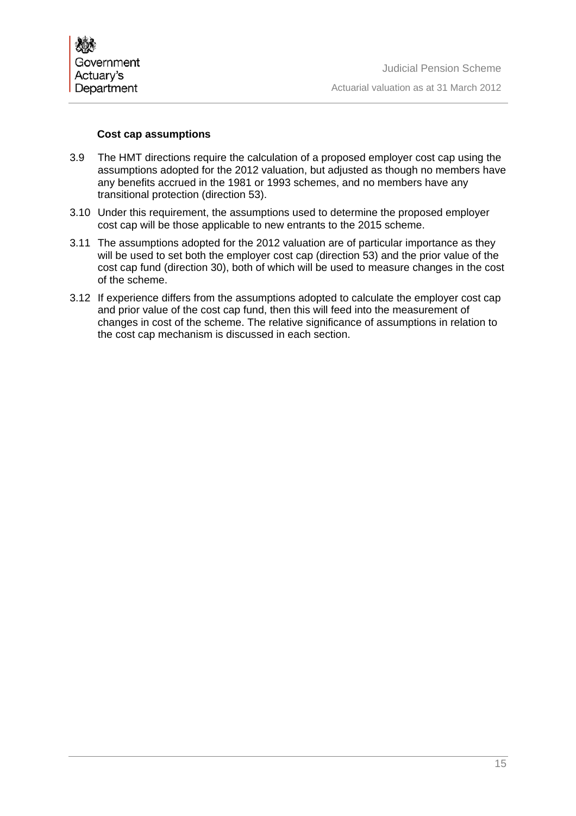

#### **Cost cap assumptions**

- 3.9 The HMT directions require the calculation of a proposed employer cost cap using the assumptions adopted for the 2012 valuation, but adjusted as though no members have any benefits accrued in the 1981 or 1993 schemes, and no members have any transitional protection (direction 53).
- 3.10 Under this requirement, the assumptions used to determine the proposed employer cost cap will be those applicable to new entrants to the 2015 scheme.
- 3.11 The assumptions adopted for the 2012 valuation are of particular importance as they will be used to set both the employer cost cap (direction 53) and the prior value of the cost cap fund (direction 30), both of which will be used to measure changes in the cost of the scheme.
- 3.12 If experience differs from the assumptions adopted to calculate the employer cost cap and prior value of the cost cap fund, then this will feed into the measurement of changes in cost of the scheme. The relative significance of assumptions in relation to the cost cap mechanism is discussed in each section.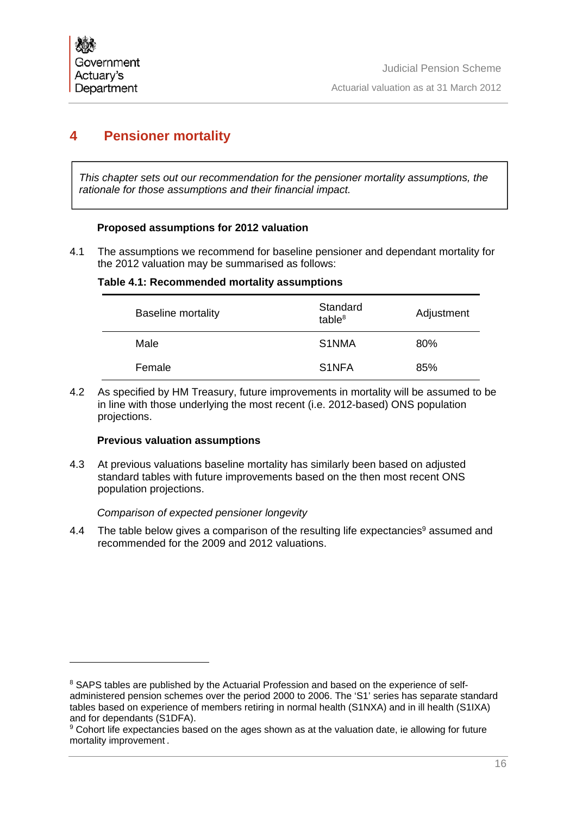# **4 Pensioner mortality**

*This chapter sets out our recommendation for the pensioner mortality assumptions, the rationale for those assumptions and their financial impact.* 

# **Proposed assumptions for 2012 valuation**

4.1 The assumptions we recommend for baseline pensioner and dependant mortality for the 2012 valuation may be summarised as follows:

## **Table 4.1: Recommended mortality assumptions**

| <b>Baseline mortality</b> | Standard<br>table $8$ | Adjustment |
|---------------------------|-----------------------|------------|
| Male                      | S1NMA                 | 80%        |
| Female                    | S <sub>1</sub> NFA    | 85%        |

4.2 As specified by HM Treasury, future improvements in mortality will be assumed to be in line with those underlying the most recent (i.e. 2012-based) ONS population projections.

## **Previous valuation assumptions**

4.3 At previous valuations baseline mortality has similarly been based on adjusted standard tables with future improvements based on the then most recent ONS population projections.

*Comparison of expected pensioner longevity* 

4.4 The table below gives a comparison of the resulting life expectancies<sup>9</sup> assumed and recommended for the 2009 and 2012 valuations.

<sup>&</sup>lt;sup>8</sup> SAPS tables are published by the Actuarial Profession and based on the experience of selfadministered pension schemes over the period 2000 to 2006. The 'S1' series has separate standard tables based on experience of members retiring in normal health (S1NXA) and in ill health (S1IXA) and for dependants (S1DFA).

<sup>9</sup> Cohort life expectancies based on the ages shown as at the valuation date, ie allowing for future mortality improvement .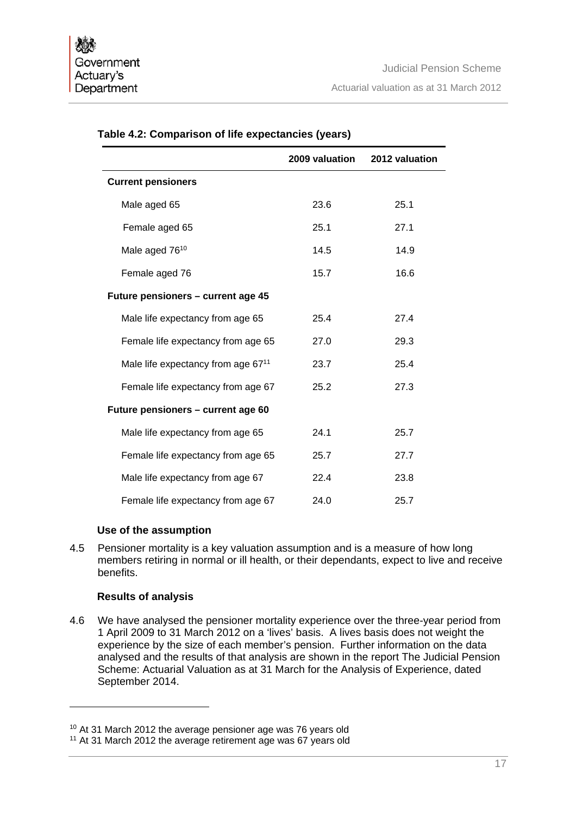|                                                | 2009 valuation | 2012 valuation |
|------------------------------------------------|----------------|----------------|
| <b>Current pensioners</b>                      |                |                |
| Male aged 65                                   | 23.6           | 25.1           |
| Female aged 65                                 | 25.1           | 27.1           |
| Male aged 76 <sup>10</sup>                     | 14.5           | 14.9           |
| Female aged 76                                 | 15.7           | 16.6           |
| Future pensioners - current age 45             |                |                |
| Male life expectancy from age 65               | 25.4           | 27.4           |
| Female life expectancy from age 65             | 27.0           | 29.3           |
| Male life expectancy from age 67 <sup>11</sup> | 23.7           | 25.4           |
| Female life expectancy from age 67             | 25.2           | 27.3           |
| Future pensioners - current age 60             |                |                |
| Male life expectancy from age 65               | 24.1           | 25.7           |
| Female life expectancy from age 65             | 25.7           | 27.7           |
| Male life expectancy from age 67               | 22.4           | 23.8           |
| Female life expectancy from age 67             | 24.0           | 25.7           |

# **Table 4.2: Comparison of life expectancies (years)**

#### **Use of the assumption**

4.5 Pensioner mortality is a key valuation assumption and is a measure of how long members retiring in normal or ill health, or their dependants, expect to live and receive benefits.

## **Results of analysis**

4.6 We have analysed the pensioner mortality experience over the three-year period from 1 April 2009 to 31 March 2012 on a 'lives' basis. A lives basis does not weight the experience by the size of each member's pension. Further information on the data analysed and the results of that analysis are shown in the report The Judicial Pension Scheme: Actuarial Valuation as at 31 March for the Analysis of Experience, dated September 2014.

<sup>10</sup> At 31 March 2012 the average pensioner age was 76 years old

<sup>&</sup>lt;sup>11</sup> At 31 March 2012 the average retirement age was 67 years old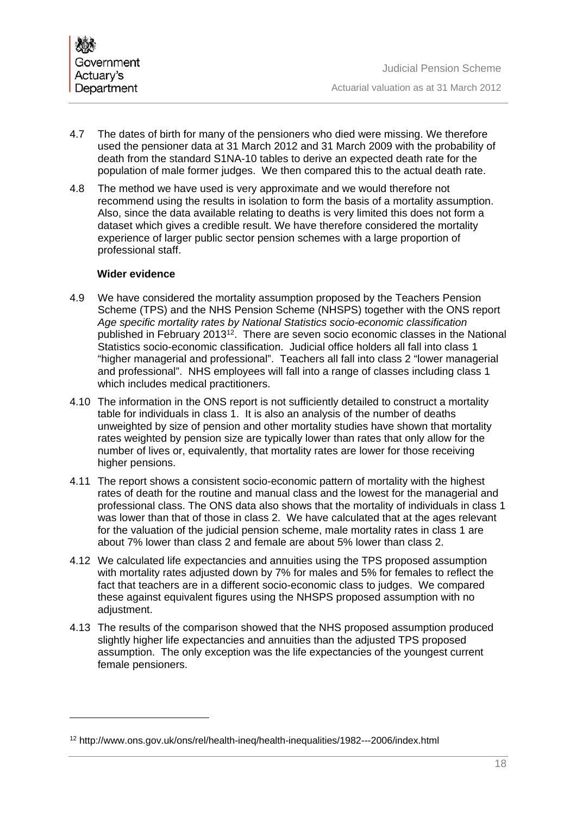- 4.7 The dates of birth for many of the pensioners who died were missing. We therefore used the pensioner data at 31 March 2012 and 31 March 2009 with the probability of death from the standard S1NA-10 tables to derive an expected death rate for the population of male former judges. We then compared this to the actual death rate.
- 4.8 The method we have used is very approximate and we would therefore not recommend using the results in isolation to form the basis of a mortality assumption. Also, since the data available relating to deaths is very limited this does not form a dataset which gives a credible result. We have therefore considered the mortality experience of larger public sector pension schemes with a large proportion of professional staff.

# **Wider evidence**

 $\overline{a}$ 

- 4.9 We have considered the mortality assumption proposed by the Teachers Pension Scheme (TPS) and the NHS Pension Scheme (NHSPS) together with the ONS report *Age specific mortality rates by National Statistics socio-economic classification* published in February 201312. There are seven socio economic classes in the National Statistics socio-economic classification. Judicial office holders all fall into class 1 "higher managerial and professional". Teachers all fall into class 2 "lower managerial and professional". NHS employees will fall into a range of classes including class 1 which includes medical practitioners.
- 4.10 The information in the ONS report is not sufficiently detailed to construct a mortality table for individuals in class 1. It is also an analysis of the number of deaths unweighted by size of pension and other mortality studies have shown that mortality rates weighted by pension size are typically lower than rates that only allow for the number of lives or, equivalently, that mortality rates are lower for those receiving higher pensions.
- 4.11 The report shows a consistent socio-economic pattern of mortality with the highest rates of death for the routine and manual class and the lowest for the managerial and professional class. The ONS data also shows that the mortality of individuals in class 1 was lower than that of those in class 2. We have calculated that at the ages relevant for the valuation of the judicial pension scheme, male mortality rates in class 1 are about 7% lower than class 2 and female are about 5% lower than class 2.
- 4.12 We calculated life expectancies and annuities using the TPS proposed assumption with mortality rates adjusted down by 7% for males and 5% for females to reflect the fact that teachers are in a different socio-economic class to judges. We compared these against equivalent figures using the NHSPS proposed assumption with no adjustment.
- 4.13 The results of the comparison showed that the NHS proposed assumption produced slightly higher life expectancies and annuities than the adjusted TPS proposed assumption. The only exception was the life expectancies of the youngest current female pensioners.

<sup>12</sup> http://www.ons.gov.uk/ons/rel/health-ineq/health-inequalities/1982---2006/index.html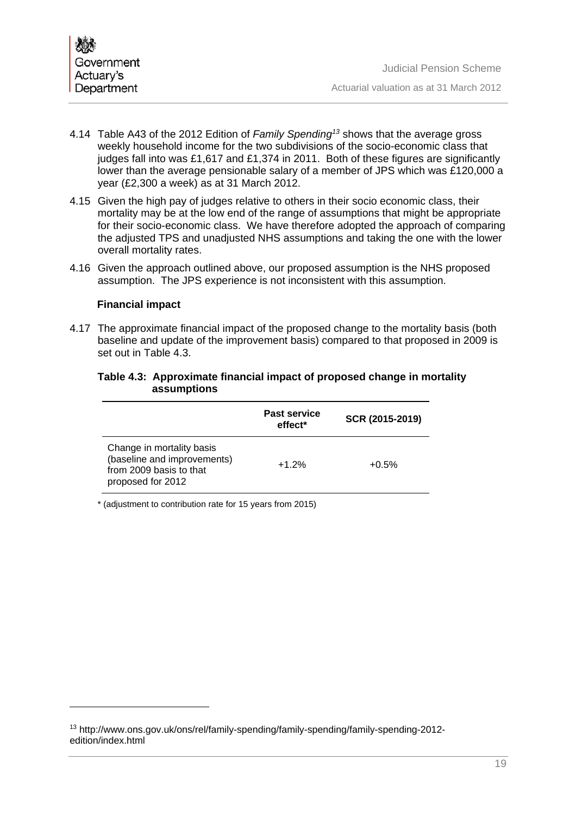

- 4.14 Table A43 of the 2012 Edition of *Family Spending13* shows that the average gross weekly household income for the two subdivisions of the socio-economic class that judges fall into was £1,617 and £1,374 in 2011. Both of these figures are significantly lower than the average pensionable salary of a member of JPS which was £120,000 a year (£2,300 a week) as at 31 March 2012.
- 4.15 Given the high pay of judges relative to others in their socio economic class, their mortality may be at the low end of the range of assumptions that might be appropriate for their socio-economic class. We have therefore adopted the approach of comparing the adjusted TPS and unadjusted NHS assumptions and taking the one with the lower overall mortality rates.
- 4.16 Given the approach outlined above, our proposed assumption is the NHS proposed assumption. The JPS experience is not inconsistent with this assumption.

## **Financial impact**

4.17 The approximate financial impact of the proposed change to the mortality basis (both baseline and update of the improvement basis) compared to that proposed in 2009 is set out in Table 4.3.

#### **Table 4.3: Approximate financial impact of proposed change in mortality assumptions**

|                                                                                                          | <b>Past service</b><br>effect <sup>*</sup> | SCR (2015-2019) |
|----------------------------------------------------------------------------------------------------------|--------------------------------------------|-----------------|
| Change in mortality basis<br>(baseline and improvements)<br>from 2009 basis to that<br>proposed for 2012 | $+1.2%$                                    | $+0.5%$         |

\* (adjustment to contribution rate for 15 years from 2015)

<sup>13</sup> http://www.ons.gov.uk/ons/rel/family-spending/family-spending/family-spending-2012 edition/index.html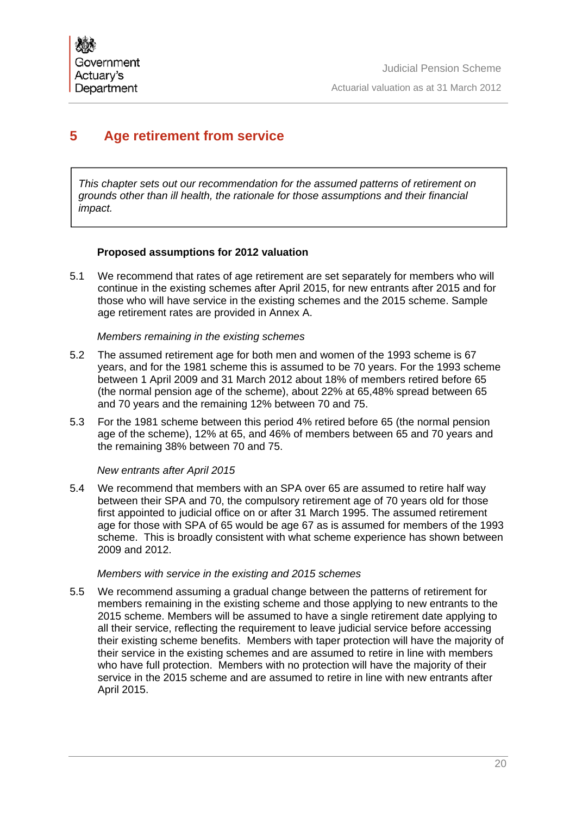# **5 Age retirement from service**

*This chapter sets out our recommendation for the assumed patterns of retirement on grounds other than ill health, the rationale for those assumptions and their financial impact.* 

# **Proposed assumptions for 2012 valuation**

5.1 We recommend that rates of age retirement are set separately for members who will continue in the existing schemes after April 2015, for new entrants after 2015 and for those who will have service in the existing schemes and the 2015 scheme. Sample age retirement rates are provided in Annex A.

# *Members remaining in the existing schemes*

- 5.2 The assumed retirement age for both men and women of the 1993 scheme is 67 years, and for the 1981 scheme this is assumed to be 70 years. For the 1993 scheme between 1 April 2009 and 31 March 2012 about 18% of members retired before 65 (the normal pension age of the scheme), about 22% at 65,48% spread between 65 and 70 years and the remaining 12% between 70 and 75.
- 5.3 For the 1981 scheme between this period 4% retired before 65 (the normal pension age of the scheme), 12% at 65, and 46% of members between 65 and 70 years and the remaining 38% between 70 and 75.

# *New entrants after April 2015*

5.4 We recommend that members with an SPA over 65 are assumed to retire half way between their SPA and 70, the compulsory retirement age of 70 years old for those first appointed to judicial office on or after 31 March 1995. The assumed retirement age for those with SPA of 65 would be age 67 as is assumed for members of the 1993 scheme. This is broadly consistent with what scheme experience has shown between 2009 and 2012.

## *Members with service in the existing and 2015 schemes*

5.5 We recommend assuming a gradual change between the patterns of retirement for members remaining in the existing scheme and those applying to new entrants to the 2015 scheme. Members will be assumed to have a single retirement date applying to all their service, reflecting the requirement to leave judicial service before accessing their existing scheme benefits. Members with taper protection will have the majority of their service in the existing schemes and are assumed to retire in line with members who have full protection. Members with no protection will have the majority of their service in the 2015 scheme and are assumed to retire in line with new entrants after April 2015.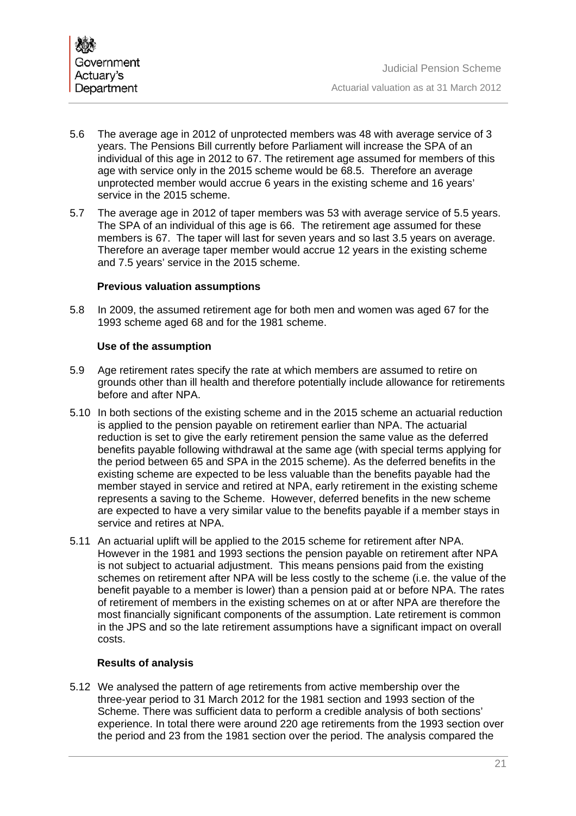- 5.6 The average age in 2012 of unprotected members was 48 with average service of 3 years. The Pensions Bill currently before Parliament will increase the SPA of an individual of this age in 2012 to 67. The retirement age assumed for members of this age with service only in the 2015 scheme would be 68.5. Therefore an average unprotected member would accrue 6 years in the existing scheme and 16 years' service in the 2015 scheme.
- 5.7 The average age in 2012 of taper members was 53 with average service of 5.5 years. The SPA of an individual of this age is 66. The retirement age assumed for these members is 67. The taper will last for seven years and so last 3.5 years on average. Therefore an average taper member would accrue 12 years in the existing scheme and 7.5 years' service in the 2015 scheme.

# **Previous valuation assumptions**

5.8 In 2009, the assumed retirement age for both men and women was aged 67 for the 1993 scheme aged 68 and for the 1981 scheme.

# **Use of the assumption**

- 5.9 Age retirement rates specify the rate at which members are assumed to retire on grounds other than ill health and therefore potentially include allowance for retirements before and after NPA.
- 5.10 In both sections of the existing scheme and in the 2015 scheme an actuarial reduction is applied to the pension payable on retirement earlier than NPA. The actuarial reduction is set to give the early retirement pension the same value as the deferred benefits payable following withdrawal at the same age (with special terms applying for the period between 65 and SPA in the 2015 scheme). As the deferred benefits in the existing scheme are expected to be less valuable than the benefits payable had the member stayed in service and retired at NPA, early retirement in the existing scheme represents a saving to the Scheme. However, deferred benefits in the new scheme are expected to have a very similar value to the benefits payable if a member stays in service and retires at NPA.
- 5.11 An actuarial uplift will be applied to the 2015 scheme for retirement after NPA. However in the 1981 and 1993 sections the pension payable on retirement after NPA is not subject to actuarial adjustment. This means pensions paid from the existing schemes on retirement after NPA will be less costly to the scheme (i.e. the value of the benefit payable to a member is lower) than a pension paid at or before NPA. The rates of retirement of members in the existing schemes on at or after NPA are therefore the most financially significant components of the assumption. Late retirement is common in the JPS and so the late retirement assumptions have a significant impact on overall costs.

# **Results of analysis**

5.12 We analysed the pattern of age retirements from active membership over the three-year period to 31 March 2012 for the 1981 section and 1993 section of the Scheme. There was sufficient data to perform a credible analysis of both sections' experience. In total there were around 220 age retirements from the 1993 section over the period and 23 from the 1981 section over the period. The analysis compared the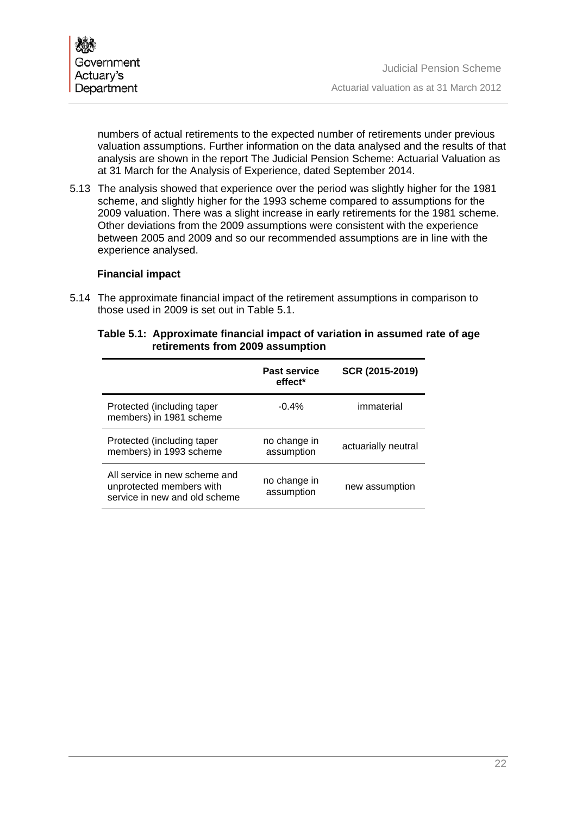numbers of actual retirements to the expected number of retirements under previous valuation assumptions. Further information on the data analysed and the results of that analysis are shown in the report The Judicial Pension Scheme: Actuarial Valuation as at 31 March for the Analysis of Experience, dated September 2014.

5.13 The analysis showed that experience over the period was slightly higher for the 1981 scheme, and slightly higher for the 1993 scheme compared to assumptions for the 2009 valuation. There was a slight increase in early retirements for the 1981 scheme. Other deviations from the 2009 assumptions were consistent with the experience between 2005 and 2009 and so our recommended assumptions are in line with the experience analysed.

## **Financial impact**

5.14 The approximate financial impact of the retirement assumptions in comparison to those used in 2009 is set out in Table 5.1.

# **Table 5.1: Approximate financial impact of variation in assumed rate of age retirements from 2009 assumption**

|                                                                                            | <b>Past service</b><br>effect <sup>*</sup> | SCR (2015-2019)     |
|--------------------------------------------------------------------------------------------|--------------------------------------------|---------------------|
| Protected (including taper<br>members) in 1981 scheme                                      | $-0.4%$                                    | immaterial          |
| Protected (including taper<br>members) in 1993 scheme                                      | no change in<br>assumption                 | actuarially neutral |
| All service in new scheme and<br>unprotected members with<br>service in new and old scheme | no change in<br>assumption                 | new assumption      |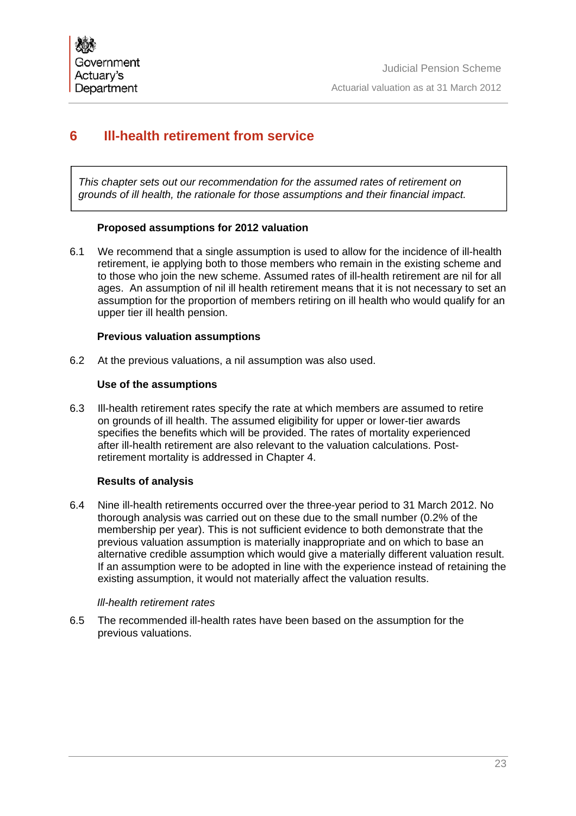# **6 Ill-health retirement from service**

*This chapter sets out our recommendation for the assumed rates of retirement on grounds of ill health, the rationale for those assumptions and their financial impact.*

# **Proposed assumptions for 2012 valuation**

6.1 We recommend that a single assumption is used to allow for the incidence of ill-health retirement, ie applying both to those members who remain in the existing scheme and to those who join the new scheme. Assumed rates of ill-health retirement are nil for all ages. An assumption of nil ill health retirement means that it is not necessary to set an assumption for the proportion of members retiring on ill health who would qualify for an upper tier ill health pension.

## **Previous valuation assumptions**

6.2 At the previous valuations, a nil assumption was also used.

## **Use of the assumptions**

6.3 Ill-health retirement rates specify the rate at which members are assumed to retire on grounds of ill health. The assumed eligibility for upper or lower-tier awards specifies the benefits which will be provided. The rates of mortality experienced after ill-health retirement are also relevant to the valuation calculations. Postretirement mortality is addressed in Chapter 4.

## **Results of analysis**

6.4 Nine ill-health retirements occurred over the three-year period to 31 March 2012. No thorough analysis was carried out on these due to the small number (0.2% of the membership per year). This is not sufficient evidence to both demonstrate that the previous valuation assumption is materially inappropriate and on which to base an alternative credible assumption which would give a materially different valuation result. If an assumption were to be adopted in line with the experience instead of retaining the existing assumption, it would not materially affect the valuation results.

#### *Ill-health retirement rates*

6.5 The recommended ill-health rates have been based on the assumption for the previous valuations.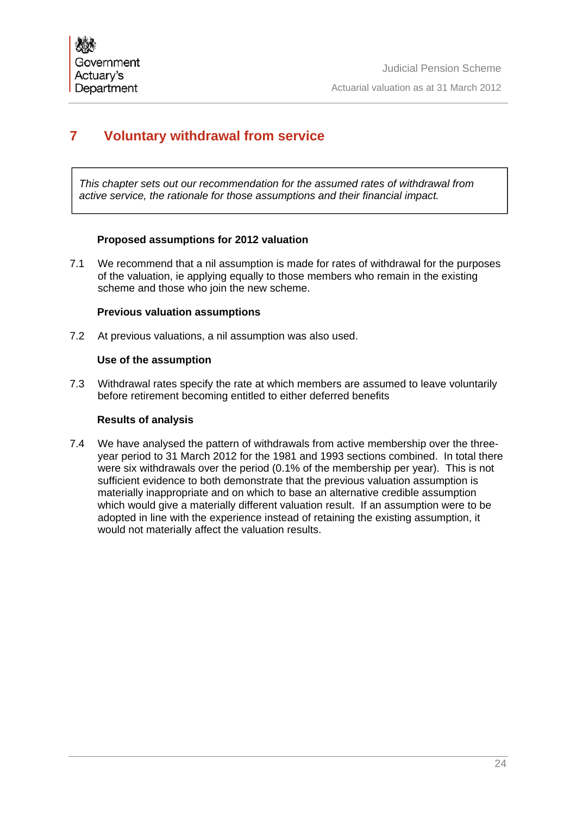# **7 Voluntary withdrawal from service**

*This chapter sets out our recommendation for the assumed rates of withdrawal from active service, the rationale for those assumptions and their financial impact.*

## **Proposed assumptions for 2012 valuation**

7.1 We recommend that a nil assumption is made for rates of withdrawal for the purposes of the valuation, ie applying equally to those members who remain in the existing scheme and those who join the new scheme.

# **Previous valuation assumptions**

7.2 At previous valuations, a nil assumption was also used.

# **Use of the assumption**

7.3 Withdrawal rates specify the rate at which members are assumed to leave voluntarily before retirement becoming entitled to either deferred benefits

# **Results of analysis**

7.4 We have analysed the pattern of withdrawals from active membership over the threeyear period to 31 March 2012 for the 1981 and 1993 sections combined. In total there were six withdrawals over the period (0.1% of the membership per year). This is not sufficient evidence to both demonstrate that the previous valuation assumption is materially inappropriate and on which to base an alternative credible assumption which would give a materially different valuation result. If an assumption were to be adopted in line with the experience instead of retaining the existing assumption, it would not materially affect the valuation results.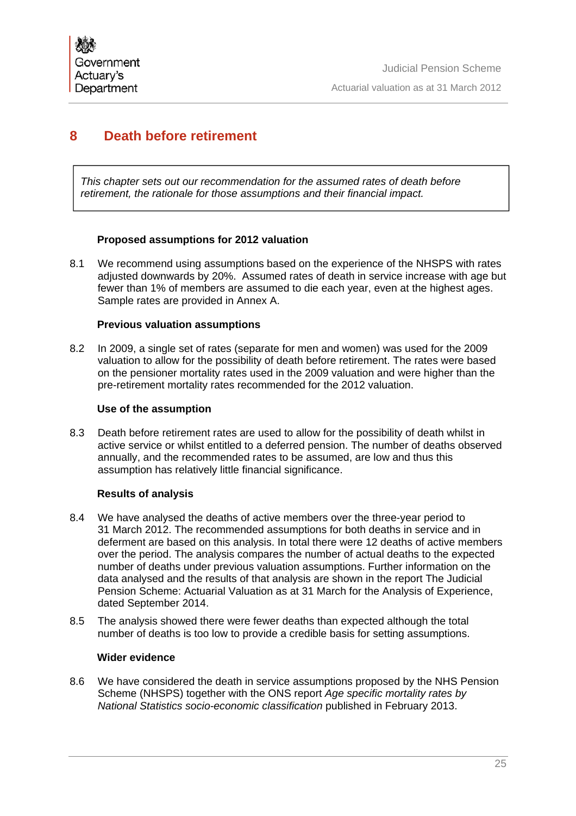# **8 Death before retirement**

*This chapter sets out our recommendation for the assumed rates of death before retirement, the rationale for those assumptions and their financial impact.*

## **Proposed assumptions for 2012 valuation**

8.1 We recommend using assumptions based on the experience of the NHSPS with rates adjusted downwards by 20%. Assumed rates of death in service increase with age but fewer than 1% of members are assumed to die each year, even at the highest ages. Sample rates are provided in Annex A.

## **Previous valuation assumptions**

8.2 In 2009, a single set of rates (separate for men and women) was used for the 2009 valuation to allow for the possibility of death before retirement. The rates were based on the pensioner mortality rates used in the 2009 valuation and were higher than the pre-retirement mortality rates recommended for the 2012 valuation.

#### **Use of the assumption**

8.3 Death before retirement rates are used to allow for the possibility of death whilst in active service or whilst entitled to a deferred pension. The number of deaths observed annually, and the recommended rates to be assumed, are low and thus this assumption has relatively little financial significance.

## **Results of analysis**

- 8.4 We have analysed the deaths of active members over the three-year period to 31 March 2012. The recommended assumptions for both deaths in service and in deferment are based on this analysis. In total there were 12 deaths of active members over the period. The analysis compares the number of actual deaths to the expected number of deaths under previous valuation assumptions. Further information on the data analysed and the results of that analysis are shown in the report The Judicial Pension Scheme: Actuarial Valuation as at 31 March for the Analysis of Experience, dated September 2014.
- 8.5 The analysis showed there were fewer deaths than expected although the total number of deaths is too low to provide a credible basis for setting assumptions.

# **Wider evidence**

8.6 We have considered the death in service assumptions proposed by the NHS Pension Scheme (NHSPS) together with the ONS report *Age specific mortality rates by National Statistics socio-economic classification* published in February 2013.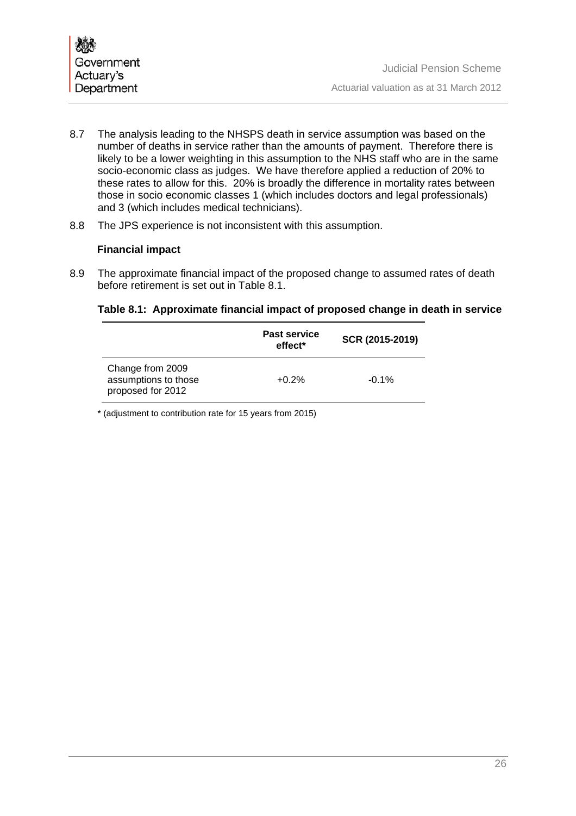- 8.7 The analysis leading to the NHSPS death in service assumption was based on the number of deaths in service rather than the amounts of payment. Therefore there is likely to be a lower weighting in this assumption to the NHS staff who are in the same socio-economic class as judges. We have therefore applied a reduction of 20% to these rates to allow for this. 20% is broadly the difference in mortality rates between those in socio economic classes 1 (which includes doctors and legal professionals) and 3 (which includes medical technicians).
- 8.8 The JPS experience is not inconsistent with this assumption.

# **Financial impact**

8.9 The approximate financial impact of the proposed change to assumed rates of death before retirement is set out in Table 8.1.

# **Table 8.1: Approximate financial impact of proposed change in death in service**

|                                                               | <b>Past service</b><br>effect <sup>*</sup> | SCR (2015-2019) |
|---------------------------------------------------------------|--------------------------------------------|-----------------|
| Change from 2009<br>assumptions to those<br>proposed for 2012 | $+0.2%$                                    | $-0.1%$         |

\* (adjustment to contribution rate for 15 years from 2015)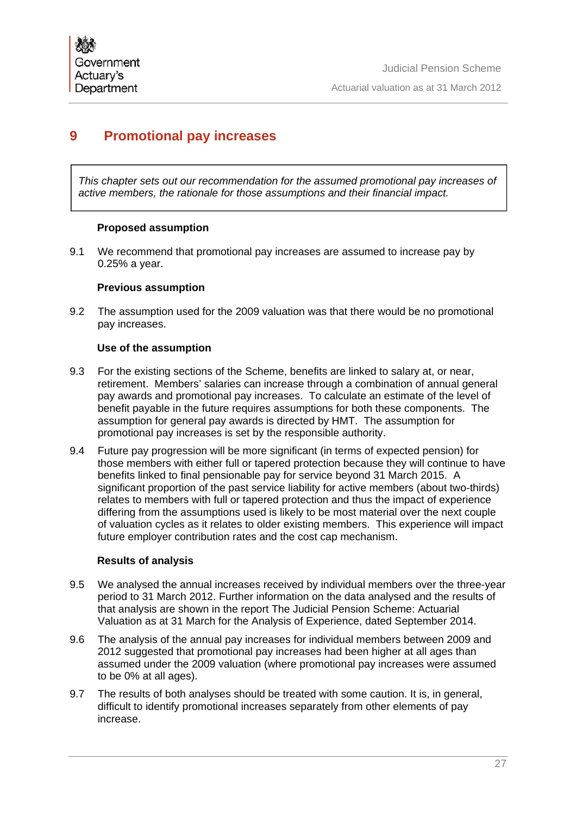# **9 Promotional pay increases**

*This chapter sets out our recommendation for the assumed promotional pay increases of active members, the rationale for those assumptions and their financial impact.*

## **Proposed assumption**

9.1 We recommend that promotional pay increases are assumed to increase pay by 0.25% a year.

## **Previous assumption**

9.2 The assumption used for the 2009 valuation was that there would be no promotional pay increases.

## **Use of the assumption**

- 9.3 For the existing sections of the Scheme, benefits are linked to salary at, or near, retirement. Members' salaries can increase through a combination of annual general pay awards and promotional pay increases. To calculate an estimate of the level of benefit payable in the future requires assumptions for both these components. The assumption for general pay awards is directed by HMT. The assumption for promotional pay increases is set by the responsible authority.
- 9.4 Future pay progression will be more significant (in terms of expected pension) for those members with either full or tapered protection because they will continue to have benefits linked to final pensionable pay for service beyond 31 March 2015. A significant proportion of the past service liability for active members (about two-thirds) relates to members with full or tapered protection and thus the impact of experience differing from the assumptions used is likely to be most material over the next couple of valuation cycles as it relates to older existing members. This experience will impact future employer contribution rates and the cost cap mechanism.

## **Results of analysis**

- 9.5 We analysed the annual increases received by individual members over the three-year period to 31 March 2012. Further information on the data analysed and the results of that analysis are shown in the report The Judicial Pension Scheme: Actuarial Valuation as at 31 March for the Analysis of Experience, dated September 2014.
- 9.6 The analysis of the annual pay increases for individual members between 2009 and 2012 suggested that promotional pay increases had been higher at all ages than assumed under the 2009 valuation (where promotional pay increases were assumed to be 0% at all ages).
- 9.7 The results of both analyses should be treated with some caution. It is, in general, difficult to identify promotional increases separately from other elements of pay increase.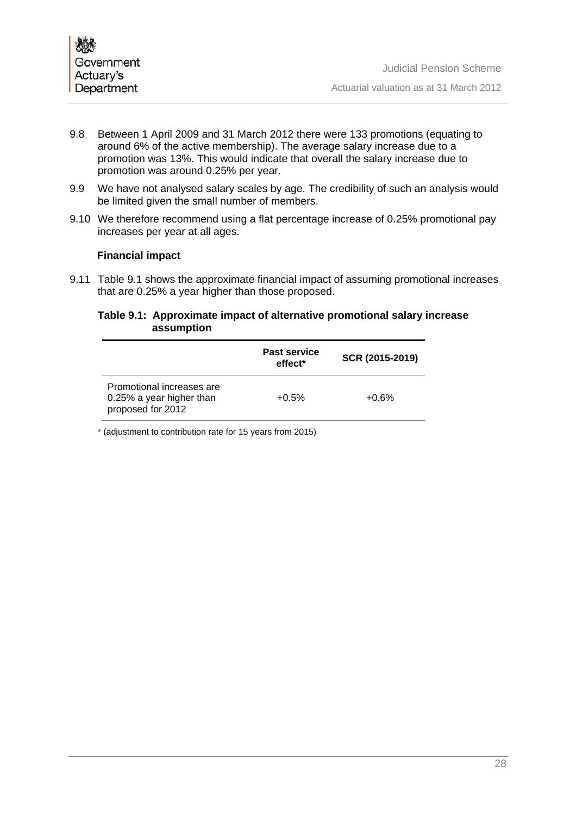

- 9.8 Between 1 April 2009 and 31 March 2012 there were 133 promotions (equating to around 6% of the active membership). The average salary increase due to a promotion was 13%. This would indicate that overall the salary increase due to promotion was around 0.25% per year.
- 9.9 We have not analysed salary scales by age. The credibility of such an analysis would be limited given the small number of members.
- 9.10 We therefore recommend using a flat percentage increase of 0.25% promotional pay increases per year at all ages.

#### **Financial impact**

9.11 Table 9.1 shows the approximate financial impact of assuming promotional increases that are 0.25% a year higher than those proposed.

#### **Table 9.1: Approximate impact of alternative promotional salary increase assumption**

|                                                                            | <b>Past service</b><br>effect <sup>*</sup> | SCR (2015-2019) |
|----------------------------------------------------------------------------|--------------------------------------------|-----------------|
| Promotional increases are<br>0.25% a year higher than<br>proposed for 2012 | $+0.5%$                                    | $+0.6%$         |

\* (adjustment to contribution rate for 15 years from 2015)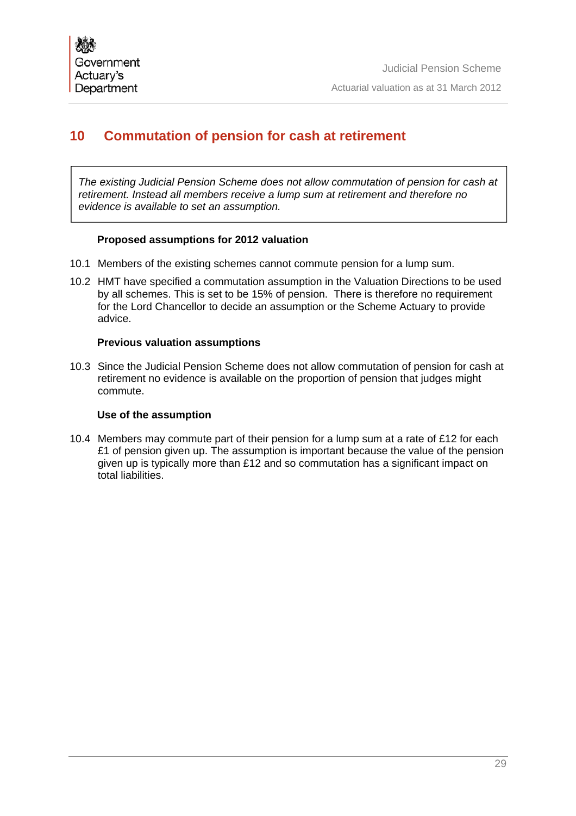# **10 Commutation of pension for cash at retirement**

*The existing Judicial Pension Scheme does not allow commutation of pension for cash at retirement. Instead all members receive a lump sum at retirement and therefore no evidence is available to set an assumption.*

## **Proposed assumptions for 2012 valuation**

- 10.1 Members of the existing schemes cannot commute pension for a lump sum.
- 10.2 HMT have specified a commutation assumption in the Valuation Directions to be used by all schemes. This is set to be 15% of pension. There is therefore no requirement for the Lord Chancellor to decide an assumption or the Scheme Actuary to provide advice.

## **Previous valuation assumptions**

10.3 Since the Judicial Pension Scheme does not allow commutation of pension for cash at retirement no evidence is available on the proportion of pension that judges might commute.

## **Use of the assumption**

10.4 Members may commute part of their pension for a lump sum at a rate of £12 for each £1 of pension given up. The assumption is important because the value of the pension given up is typically more than £12 and so commutation has a significant impact on total liabilities.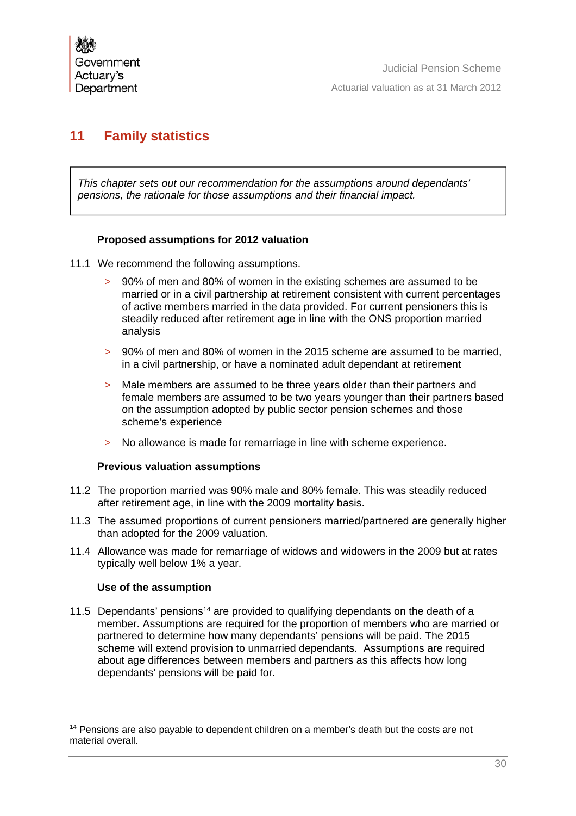# **11 Family statistics**

*This chapter sets out our recommendation for the assumptions around dependants' pensions, the rationale for those assumptions and their financial impact.*

## **Proposed assumptions for 2012 valuation**

- 11.1 We recommend the following assumptions.
	- > 90% of men and 80% of women in the existing schemes are assumed to be married or in a civil partnership at retirement consistent with current percentages of active members married in the data provided. For current pensioners this is steadily reduced after retirement age in line with the ONS proportion married analysis
	- > 90% of men and 80% of women in the 2015 scheme are assumed to be married, in a civil partnership, or have a nominated adult dependant at retirement
	- > Male members are assumed to be three years older than their partners and female members are assumed to be two years younger than their partners based on the assumption adopted by public sector pension schemes and those scheme's experience
	- > No allowance is made for remarriage in line with scheme experience.

## **Previous valuation assumptions**

- 11.2 The proportion married was 90% male and 80% female. This was steadily reduced after retirement age, in line with the 2009 mortality basis.
- 11.3 The assumed proportions of current pensioners married/partnered are generally higher than adopted for the 2009 valuation.
- 11.4 Allowance was made for remarriage of widows and widowers in the 2009 but at rates typically well below 1% a year.

## **Use of the assumption**

11.5 Dependants' pensions<sup>14</sup> are provided to qualifying dependants on the death of a member. Assumptions are required for the proportion of members who are married or partnered to determine how many dependants' pensions will be paid. The 2015 scheme will extend provision to unmarried dependants. Assumptions are required about age differences between members and partners as this affects how long dependants' pensions will be paid for.

<sup>&</sup>lt;sup>14</sup> Pensions are also payable to dependent children on a member's death but the costs are not material overall.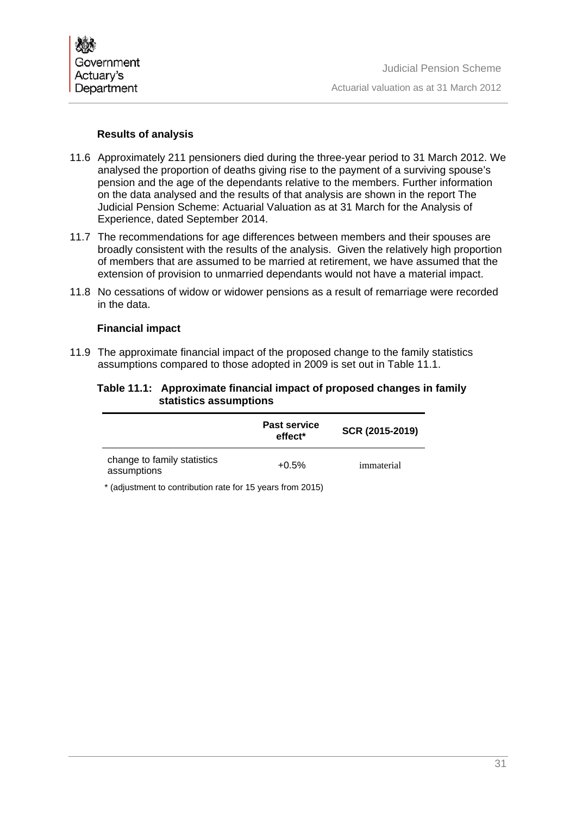

## **Results of analysis**

- 11.6 Approximately 211 pensioners died during the three-year period to 31 March 2012. We analysed the proportion of deaths giving rise to the payment of a surviving spouse's pension and the age of the dependants relative to the members. Further information on the data analysed and the results of that analysis are shown in the report The Judicial Pension Scheme: Actuarial Valuation as at 31 March for the Analysis of Experience, dated September 2014.
- 11.7 The recommendations for age differences between members and their spouses are broadly consistent with the results of the analysis. Given the relatively high proportion of members that are assumed to be married at retirement, we have assumed that the extension of provision to unmarried dependants would not have a material impact.
- 11.8 No cessations of widow or widower pensions as a result of remarriage were recorded in the data.

#### **Financial impact**

11.9 The approximate financial impact of the proposed change to the family statistics assumptions compared to those adopted in 2009 is set out in Table 11.1.

#### **Table 11.1: Approximate financial impact of proposed changes in family statistics assumptions**

|                                                                                                   | <b>Past service</b><br>effect <sup>*</sup> | SCR (2015-2019) |  |  |
|---------------------------------------------------------------------------------------------------|--------------------------------------------|-----------------|--|--|
| change to family statistics<br>assumptions                                                        | $+0.5%$                                    | immaterial      |  |  |
| $\star$ /adjustes and to approximate the sets for $\star$ $\Gamma$ users from $O(\Lambda \Gamma)$ |                                            |                 |  |  |

(adjustment to contribution rate for 15 years from 2015)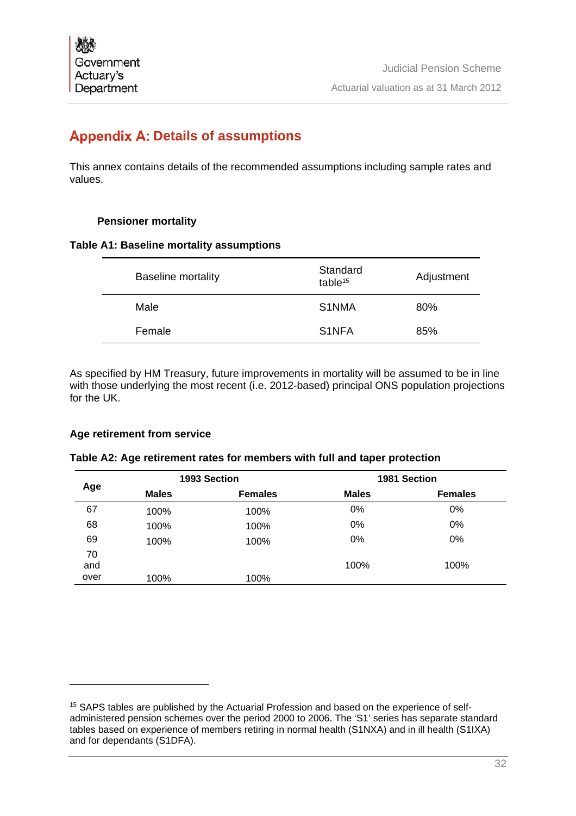# **Appendix A: Details of assumptions**

This annex contains details of the recommended assumptions including sample rates and values.

# **Pensioner mortality**

## **Table A1: Baseline mortality assumptions**

|                                     | Adjustment |
|-------------------------------------|------------|
| S <sub>1</sub> NMA<br>Male<br>80%   |            |
| S <sub>1</sub> NFA<br>85%<br>Female |            |

As specified by HM Treasury, future improvements in mortality will be assumed to be in line with those underlying the most recent (i.e. 2012-based) principal ONS population projections for the UK.

# **Age retirement from service**

 $\overline{a}$ 

|  | Table A2: Age retirement rates for members with full and taper protection |  |  |  |
|--|---------------------------------------------------------------------------|--|--|--|
|  |                                                                           |  |  |  |

|      |              | 1993 Section   |              | 1981 Section   |
|------|--------------|----------------|--------------|----------------|
| Age  | <b>Males</b> | <b>Females</b> | <b>Males</b> | <b>Females</b> |
| 67   | 100%         | 100%           | 0%           | 0%             |
| 68   | 100%         | 100%           | 0%           | 0%             |
| 69   | 100%         | 100%           | 0%           | 0%             |
| 70   |              |                |              |                |
| and  |              |                | 100%         | 100%           |
| over | 100%         | 100%           |              |                |

<sup>&</sup>lt;sup>15</sup> SAPS tables are published by the Actuarial Profession and based on the experience of selfadministered pension schemes over the period 2000 to 2006. The 'S1' series has separate standard tables based on experience of members retiring in normal health (S1NXA) and in ill health (S1IXA) and for dependants (S1DFA).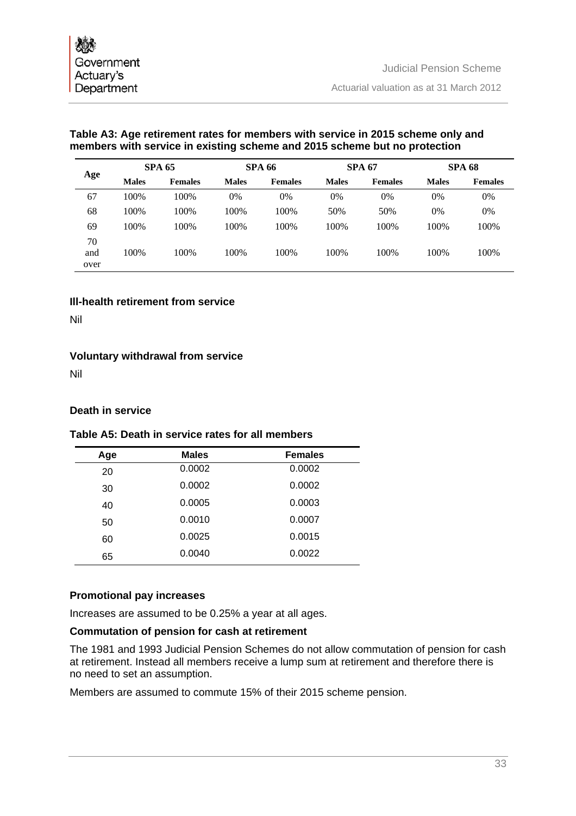# **Table A3: Age retirement rates for members with service in 2015 scheme only and members with service in existing scheme and 2015 scheme but no protection**

|      |              | <b>SPA 65</b>  |              | <b>SPA 66</b>  |              | <b>SPA 67</b>  |              | <b>SPA 68</b>  |
|------|--------------|----------------|--------------|----------------|--------------|----------------|--------------|----------------|
| Age  | <b>Males</b> | <b>Females</b> | <b>Males</b> | <b>Females</b> | <b>Males</b> | <b>Females</b> | <b>Males</b> | <b>Females</b> |
| 67   | 100%         | 100%           | 0%           | 0%             | 0%           | 0%             | 0%           | 0%             |
| 68   | 100%         | 100%           | 100%         | 100%           | 50%          | 50%            | 0%           | 0%             |
| 69   | 100%         | 100%           | 100%         | 100%           | 100%         | 100%           | 100%         | 100%           |
| 70   |              |                |              |                |              |                |              |                |
| and  | 100%         | 100%           | 100%         | 100%           | 100%         | 100%           | 100%         | 100%           |
| over |              |                |              |                |              |                |              |                |

# **Ill-health retirement from service**

Nil

# **Voluntary withdrawal from service**

Nil

# **Death in service**

# **Table A5: Death in service rates for all members**

| Age | <b>Males</b> | <b>Females</b> |
|-----|--------------|----------------|
| 20  | 0.0002       | 0.0002         |
| 30  | 0.0002       | 0.0002         |
| 40  | 0.0005       | 0.0003         |
| 50  | 0.0010       | 0.0007         |
| 60  | 0.0025       | 0.0015         |
| 65  | 0.0040       | 0.0022         |
|     |              |                |

## **Promotional pay increases**

Increases are assumed to be 0.25% a year at all ages.

## **Commutation of pension for cash at retirement**

The 1981 and 1993 Judicial Pension Schemes do not allow commutation of pension for cash at retirement. Instead all members receive a lump sum at retirement and therefore there is no need to set an assumption.

Members are assumed to commute 15% of their 2015 scheme pension.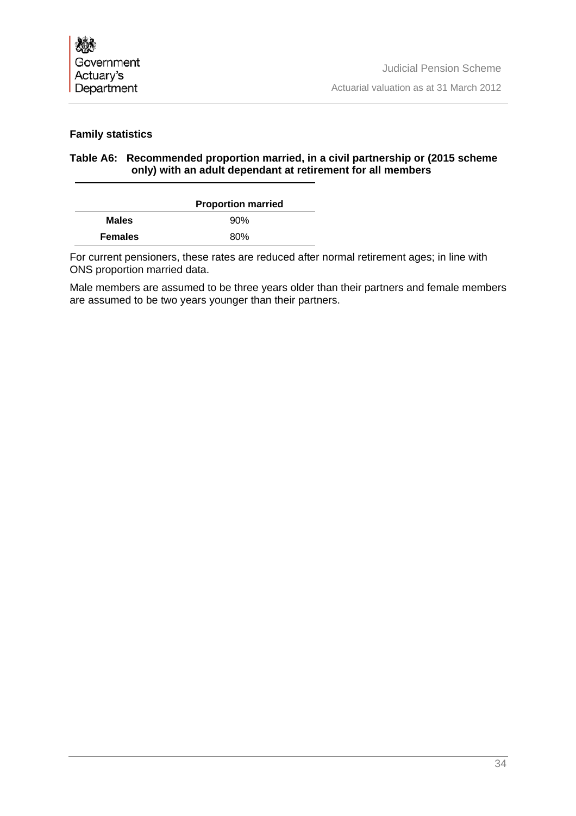

# **Family statistics**

# **Table A6: Recommended proportion married, in a civil partnership or (2015 scheme only) with an adult dependant at retirement for all members**

|                | <b>Proportion married</b> |  |  |
|----------------|---------------------------|--|--|
| <b>Males</b>   | 90%                       |  |  |
| <b>Females</b> | 80%                       |  |  |

For current pensioners, these rates are reduced after normal retirement ages; in line with ONS proportion married data.

Male members are assumed to be three years older than their partners and female members are assumed to be two years younger than their partners.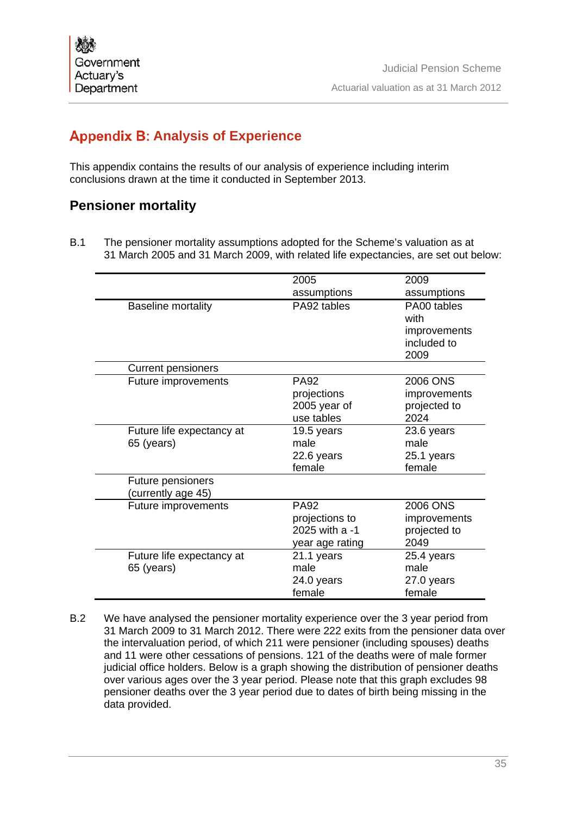# **Appendix B: Analysis of Experience**

This appendix contains the results of our analysis of experience including interim conclusions drawn at the time it conducted in September 2013.

# **Pensioner mortality**

B.1 The pensioner mortality assumptions adopted for the Scheme's valuation as at 31 March 2005 and 31 March 2009, with related life expectancies, are set out below:

|                           | 2005            | 2009         |
|---------------------------|-----------------|--------------|
|                           | assumptions     | assumptions  |
| <b>Baseline mortality</b> | PA92 tables     | PA00 tables  |
|                           |                 | with         |
|                           |                 | improvements |
|                           |                 | included to  |
|                           |                 | 2009         |
| <b>Current pensioners</b> |                 |              |
| Future improvements       | PA92            | 2006 ONS     |
|                           | projections     | improvements |
|                           | 2005 year of    | projected to |
|                           | use tables      | 2024         |
| Future life expectancy at | 19.5 years      | 23.6 years   |
| 65 (years)                | male            | male         |
|                           | 22.6 years      | 25.1 years   |
|                           | female          | female       |
| Future pensioners         |                 |              |
| (currently age 45)        |                 |              |
| Future improvements       | <b>PA92</b>     | 2006 ONS     |
|                           | projections to  | improvements |
|                           | 2025 with a -1  | projected to |
|                           | year age rating | 2049         |
| Future life expectancy at | 21.1 years      | 25.4 years   |
| 65 (years)                | male            | male         |
|                           | 24.0 years      | 27.0 years   |
|                           | female          | female       |

B.2 We have analysed the pensioner mortality experience over the 3 year period from 31 March 2009 to 31 March 2012. There were 222 exits from the pensioner data over the intervaluation period, of which 211 were pensioner (including spouses) deaths and 11 were other cessations of pensions. 121 of the deaths were of male former judicial office holders. Below is a graph showing the distribution of pensioner deaths over various ages over the 3 year period. Please note that this graph excludes 98 pensioner deaths over the 3 year period due to dates of birth being missing in the data provided.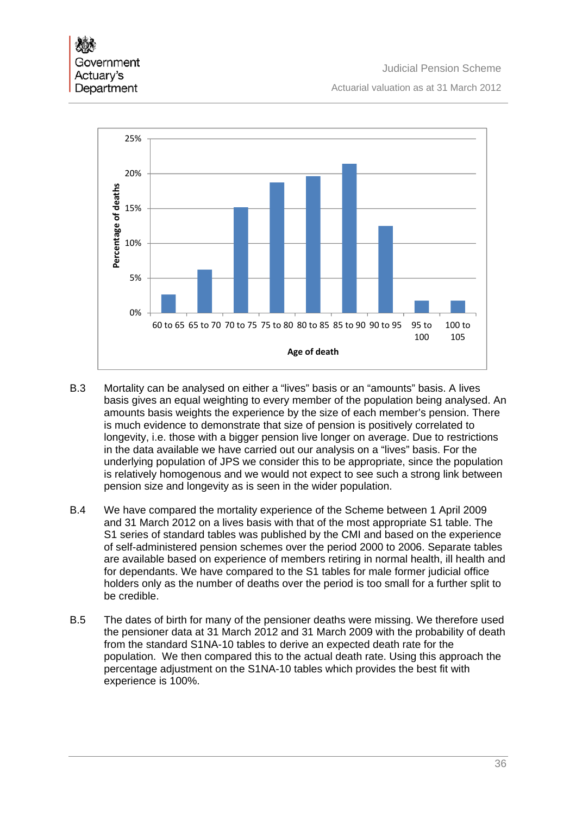

- B.3 Mortality can be analysed on either a "lives" basis or an "amounts" basis. A lives basis gives an equal weighting to every member of the population being analysed. An amounts basis weights the experience by the size of each member's pension. There is much evidence to demonstrate that size of pension is positively correlated to longevity, i.e. those with a bigger pension live longer on average. Due to restrictions in the data available we have carried out our analysis on a "lives" basis. For the underlying population of JPS we consider this to be appropriate, since the population is relatively homogenous and we would not expect to see such a strong link between pension size and longevity as is seen in the wider population.
- B.4 We have compared the mortality experience of the Scheme between 1 April 2009 and 31 March 2012 on a lives basis with that of the most appropriate S1 table. The S1 series of standard tables was published by the CMI and based on the experience of self-administered pension schemes over the period 2000 to 2006. Separate tables are available based on experience of members retiring in normal health, ill health and for dependants. We have compared to the S1 tables for male former judicial office holders only as the number of deaths over the period is too small for a further split to be credible.
- B.5 The dates of birth for many of the pensioner deaths were missing. We therefore used the pensioner data at 31 March 2012 and 31 March 2009 with the probability of death from the standard S1NA-10 tables to derive an expected death rate for the population. We then compared this to the actual death rate. Using this approach the percentage adjustment on the S1NA-10 tables which provides the best fit with experience is 100%.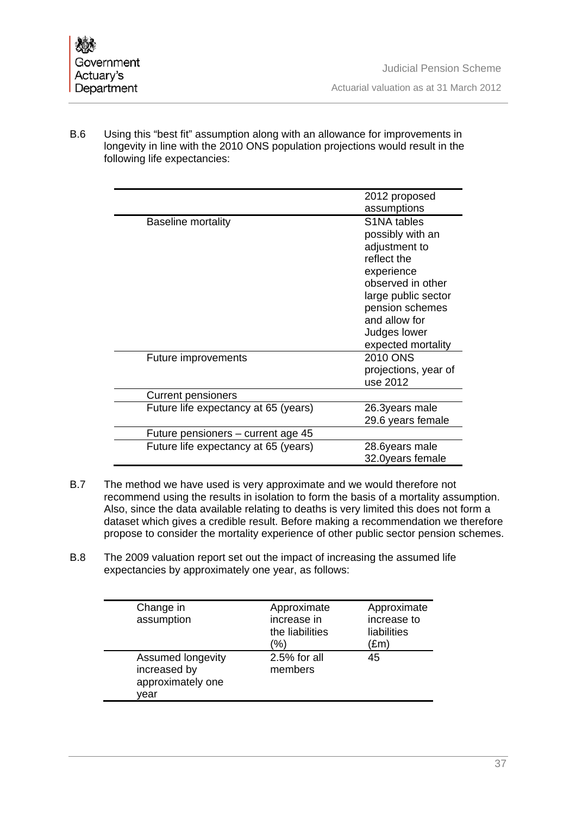B.6 Using this "best fit" assumption along with an allowance for improvements in longevity in line with the 2010 ONS population projections would result in the following life expectancies:

|                                      | 2012 proposed<br>assumptions                                                                                                                                                                                     |
|--------------------------------------|------------------------------------------------------------------------------------------------------------------------------------------------------------------------------------------------------------------|
| <b>Baseline mortality</b>            | S <sub>1</sub> NA tables<br>possibly with an<br>adjustment to<br>reflect the<br>experience<br>observed in other<br>large public sector<br>pension schemes<br>and allow for<br>Judges lower<br>expected mortality |
| Future improvements                  | 2010 ONS<br>projections, year of<br>use 2012                                                                                                                                                                     |
| <b>Current pensioners</b>            |                                                                                                                                                                                                                  |
| Future life expectancy at 65 (years) | 26.3years male<br>29.6 years female                                                                                                                                                                              |
| Future pensioners – current age 45   |                                                                                                                                                                                                                  |
| Future life expectancy at 65 (years) | 28.6years male<br>32.0years female                                                                                                                                                                               |

- B.7 The method we have used is very approximate and we would therefore not recommend using the results in isolation to form the basis of a mortality assumption. Also, since the data available relating to deaths is very limited this does not form a dataset which gives a credible result. Before making a recommendation we therefore propose to consider the mortality experience of other public sector pension schemes.
- B.8 The 2009 valuation report set out the impact of increasing the assumed life expectancies by approximately one year, as follows:

| Change in<br>assumption                                        | Approximate<br>increase in<br>the liabilities<br>(%) | Approximate<br>increase to<br>liabilities<br>(£m) |
|----------------------------------------------------------------|------------------------------------------------------|---------------------------------------------------|
| Assumed longevity<br>increased by<br>approximately one<br>vear | 2.5% for all<br>members                              | 45                                                |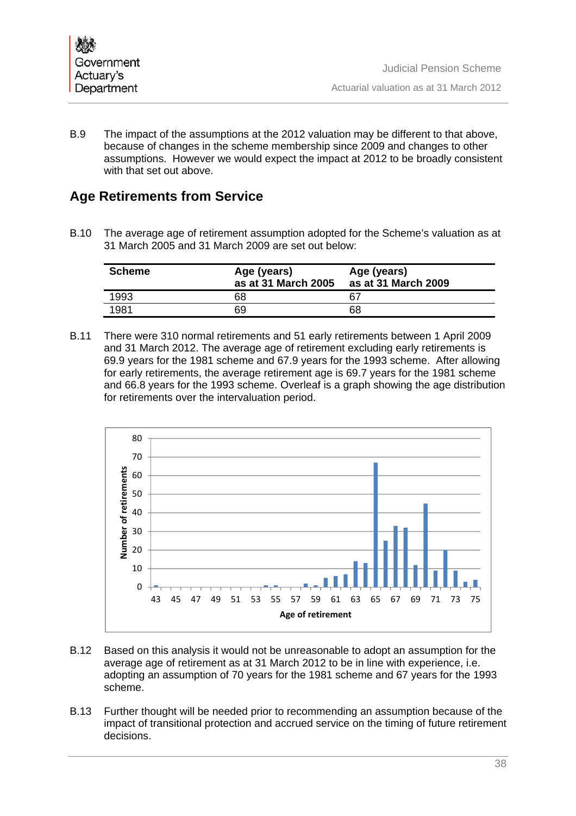B.9 The impact of the assumptions at the 2012 valuation may be different to that above, because of changes in the scheme membership since 2009 and changes to other assumptions. However we would expect the impact at 2012 to be broadly consistent with that set out above.

# **Age Retirements from Service**

B.10 The average age of retirement assumption adopted for the Scheme's valuation as at 31 March 2005 and 31 March 2009 are set out below:

| <b>Scheme</b> | Age (years)<br>as at 31 March 2005 | Age (years)<br>as at 31 March 2009 |
|---------------|------------------------------------|------------------------------------|
| 1993          | 68                                 | 67                                 |
| 1981          | 69                                 | 68                                 |

B.11 There were 310 normal retirements and 51 early retirements between 1 April 2009 and 31 March 2012. The average age of retirement excluding early retirements is 69.9 years for the 1981 scheme and 67.9 years for the 1993 scheme. After allowing for early retirements, the average retirement age is 69.7 years for the 1981 scheme and 66.8 years for the 1993 scheme. Overleaf is a graph showing the age distribution for retirements over the intervaluation period.



- B.12 Based on this analysis it would not be unreasonable to adopt an assumption for the average age of retirement as at 31 March 2012 to be in line with experience, i.e. adopting an assumption of 70 years for the 1981 scheme and 67 years for the 1993 scheme.
- B.13 Further thought will be needed prior to recommending an assumption because of the impact of transitional protection and accrued service on the timing of future retirement decisions.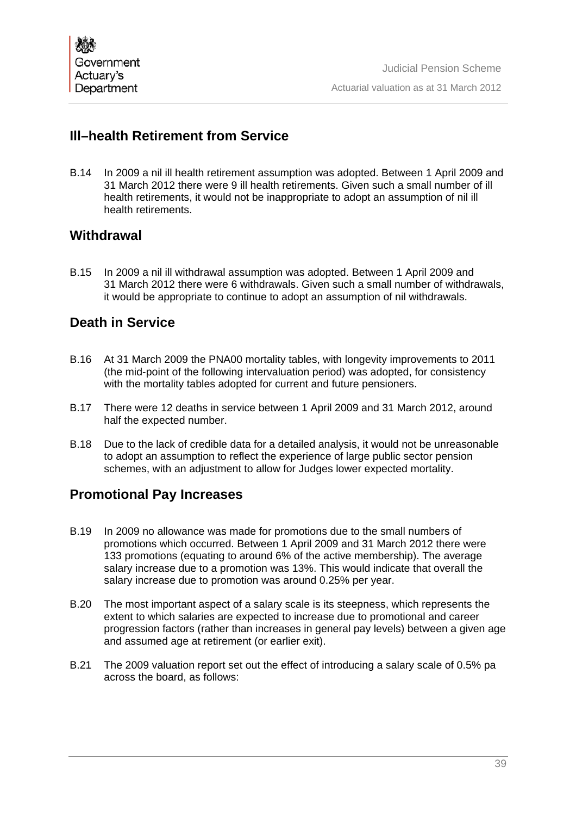# **Ill–health Retirement from Service**

B.14 In 2009 a nil ill health retirement assumption was adopted. Between 1 April 2009 and 31 March 2012 there were 9 ill health retirements. Given such a small number of ill health retirements, it would not be inappropriate to adopt an assumption of nil ill health retirements.

# **Withdrawal**

B.15 In 2009 a nil ill withdrawal assumption was adopted. Between 1 April 2009 and 31 March 2012 there were 6 withdrawals. Given such a small number of withdrawals, it would be appropriate to continue to adopt an assumption of nil withdrawals.

# **Death in Service**

- B.16 At 31 March 2009 the PNA00 mortality tables, with longevity improvements to 2011 (the mid-point of the following intervaluation period) was adopted, for consistency with the mortality tables adopted for current and future pensioners.
- B.17 There were 12 deaths in service between 1 April 2009 and 31 March 2012, around half the expected number.
- B.18 Due to the lack of credible data for a detailed analysis, it would not be unreasonable to adopt an assumption to reflect the experience of large public sector pension schemes, with an adjustment to allow for Judges lower expected mortality.

# **Promotional Pay Increases**

- B.19 In 2009 no allowance was made for promotions due to the small numbers of promotions which occurred. Between 1 April 2009 and 31 March 2012 there were 133 promotions (equating to around 6% of the active membership). The average salary increase due to a promotion was 13%. This would indicate that overall the salary increase due to promotion was around 0.25% per year.
- B.20 The most important aspect of a salary scale is its steepness, which represents the extent to which salaries are expected to increase due to promotional and career progression factors (rather than increases in general pay levels) between a given age and assumed age at retirement (or earlier exit).
- B.21 The 2009 valuation report set out the effect of introducing a salary scale of 0.5% pa across the board, as follows: